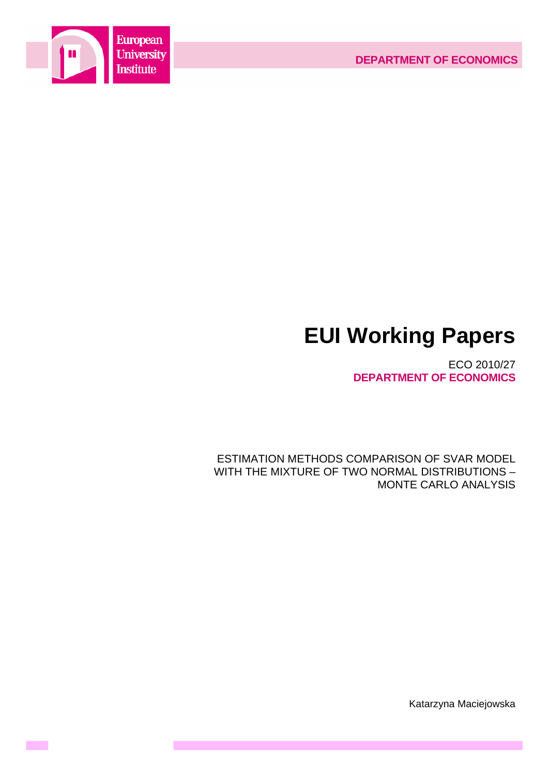



**Contract** 

# **EUI Working Papers**

ECO 2010/27 **DEPARTMENT OF ECONOMICS**

ESTIMATION METHODS COMPARISON OF SVAR MODEL WITH THE MIXTURE OF TWO NORMAL DISTRIBUTIONS – MONTE CARLO ANALYSIS

Katarzyna Maciejowska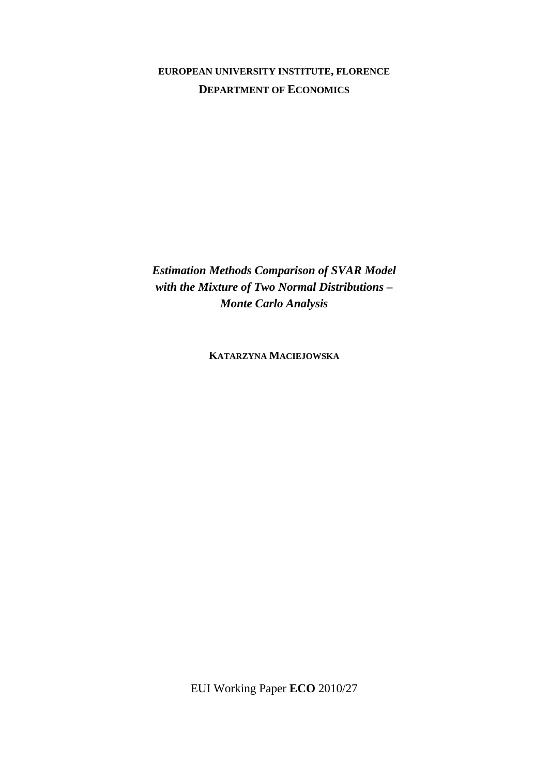# **EUROPEAN UNIVERSITY INSTITUTE, FLORENCE DEPARTMENT OF ECONOMICS**

*Estimation Methods Comparison of SVAR Model with the Mixture of Two Normal Distributions – Monte Carlo Analysis* 

**KATARZYNA MACIEJOWSKA**

EUI Working Paper **ECO** 2010/27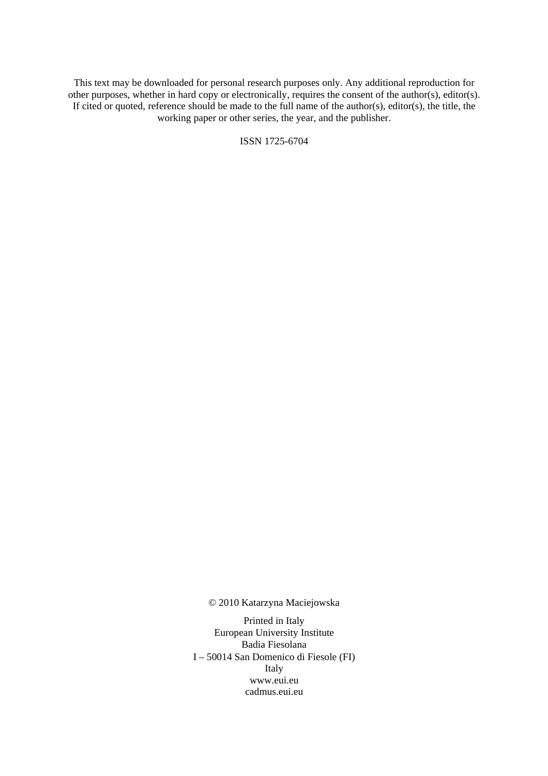This text may be downloaded for personal research purposes only. Any additional reproduction for other purposes, whether in hard copy or electronically, requires the consent of the author(s), editor(s). If cited or quoted, reference should be made to the full name of the author(s), editor(s), the title, the working paper or other series, the year, and the publisher.

ISSN 1725-6704

© 2010 Katarzyna Maciejowska

Printed in Italy European University Institute Badia Fiesolana I – 50014 San Domenico di Fiesole (FI) Italy [www.eui.eu](http://www.eui.eu/)  [cadmus.eui.eu](http://www.eui.eu/)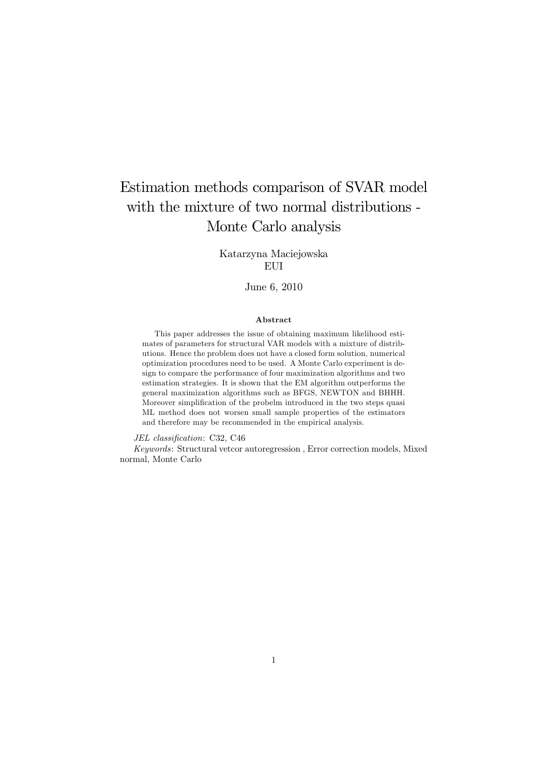# Estimation methods comparison of SVAR model with the mixture of two normal distributions - Monte Carlo analysis

Katarzyna Maciejowska EUI

#### June 6, 2010

#### Abstract

This paper addresses the issue of obtaining maximum likelihood estimates of parameters for structural VAR models with a mixture of distributions. Hence the problem does not have a closed form solution, numerical optimization procedures need to be used. A Monte Carlo experiment is design to compare the performance of four maximization algorithms and two estimation strategies. It is shown that the EM algorithm outperforms the general maximization algorithms such as BFGS, NEWTON and BHHH. Moreover simplification of the probelm introduced in the two steps quasi ML method does not worsen small sample properties of the estimators and therefore may be recommended in the empirical analysis.

JEL classification: C32, C46

Keywords: Structural vetcor autoregression , Error correction models, Mixed normal, Monte Carlo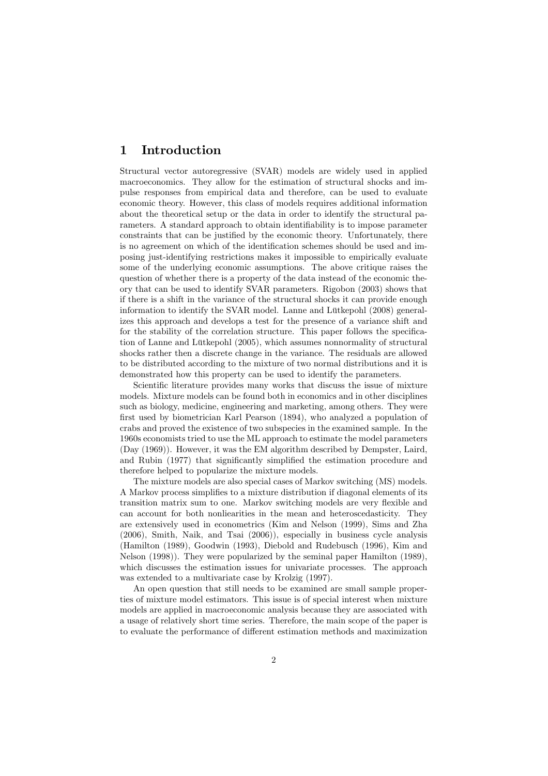### 1 Introduction

Structural vector autoregressive (SVAR) models are widely used in applied macroeconomics. They allow for the estimation of structural shocks and impulse responses from empirical data and therefore, can be used to evaluate economic theory. However, this class of models requires additional information about the theoretical setup or the data in order to identify the structural parameters. A standard approach to obtain identifiability is to impose parameter constraints that can be justified by the economic theory. Unfortunately, there is no agreement on which of the identification schemes should be used and imposing just-identifying restrictions makes it impossible to empirically evaluate some of the underlying economic assumptions. The above critique raises the question of whether there is a property of the data instead of the economic theory that can be used to identify SVAR parameters. Rigobon (2003) shows that if there is a shift in the variance of the structural shocks it can provide enough information to identify the SVAR model. Lanne and Lütkepohl (2008) generalizes this approach and develops a test for the presence of a variance shift and for the stability of the correlation structure. This paper follows the specification of Lanne and Lütkepohl (2005), which assumes nonnormality of structural shocks rather then a discrete change in the variance. The residuals are allowed to be distributed according to the mixture of two normal distributions and it is demonstrated how this property can be used to identify the parameters.

Scientific literature provides many works that discuss the issue of mixture models. Mixture models can be found both in economics and in other disciplines such as biology, medicine, engineering and marketing, among others. They were first used by biometrician Karl Pearson (1894), who analyzed a population of crabs and proved the existence of two subspecies in the examined sample. In the 1960s economists tried to use the ML approach to estimate the model parameters (Day (1969)). However, it was the EM algorithm described by Dempster, Laird, and Rubin (1977) that significantly simplified the estimation procedure and therefore helped to popularize the mixture models.

The mixture models are also special cases of Markov switching (MS) models. A Markov process simplifies to a mixture distribution if diagonal elements of its transition matrix sum to one. Markov switching models are very flexible and can account for both nonliearities in the mean and heteroscedasticity. They are extensively used in econometrics (Kim and Nelson (1999), Sims and Zha (2006), Smith, Naik, and Tsai (2006)), especially in business cycle analysis (Hamilton (1989), Goodwin (1993), Diebold and Rudebusch (1996), Kim and Nelson (1998)). They were popularized by the seminal paper Hamilton (1989), which discusses the estimation issues for univariate processes. The approach was extended to a multivariate case by Krolzig  $(1997)$ .

An open question that still needs to be examined are small sample properties of mixture model estimators. This issue is of special interest when mixture models are applied in macroeconomic analysis because they are associated with a usage of relatively short time series. Therefore, the main scope of the paper is to evaluate the performance of different estimation methods and maximization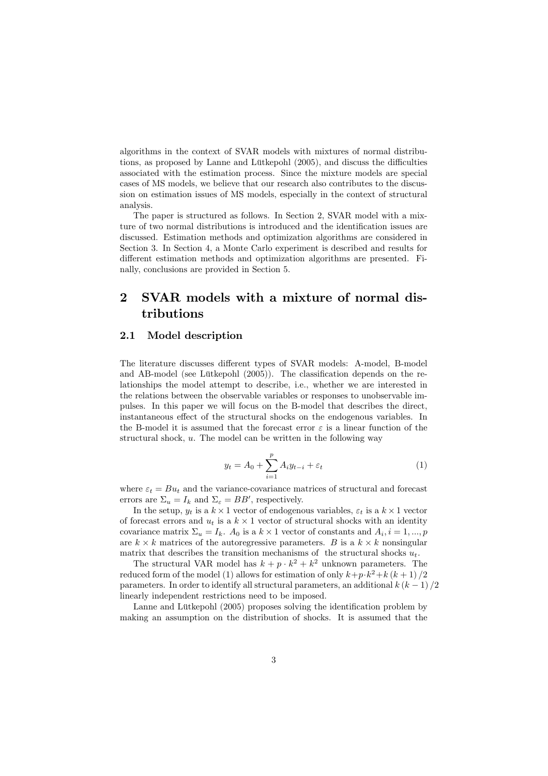algorithms in the context of SVAR models with mixtures of normal distributions, as proposed by Lanne and Lütkepohl (2005), and discuss the difficulties associated with the estimation process. Since the mixture models are special cases of MS models, we believe that our research also contributes to the discussion on estimation issues of MS models, especially in the context of structural analysis.

The paper is structured as follows. In Section 2, SVAR model with a mixture of two normal distributions is introduced and the identification issues are discussed. Estimation methods and optimization algorithms are considered in Section 3. In Section 4, a Monte Carlo experiment is described and results for different estimation methods and optimization algorithms are presented. Finally, conclusions are provided in Section 5.

# 2 SVAR models with a mixture of normal distributions

#### 2.1 Model description

The literature discusses different types of SVAR models: A-model, B-model and AB-model (see Lütkepohl (2005)). The classification depends on the relationships the model attempt to describe, i.e., whether we are interested in the relations between the observable variables or responses to unobservable impulses. In this paper we will focus on the B-model that describes the direct, instantaneous effect of the structural shocks on the endogenous variables. In the B-model it is assumed that the forecast error  $\varepsilon$  is a linear function of the structural shock, u. The model can be written in the following way

$$
y_t = A_0 + \sum_{i=1}^p A_i y_{t-i} + \varepsilon_t \tag{1}
$$

where  $\varepsilon_t = Bu_t$  and the variance-covariance matrices of structural and forecast errors are  $\Sigma_u = I_k$  and  $\Sigma_{\varepsilon} = BB'$ , respectively.

In the setup,  $y_t$  is a  $k \times 1$  vector of endogenous variables,  $\varepsilon_t$  is a  $k \times 1$  vector of forecast errors and  $u_t$  is a  $k \times 1$  vector of structural shocks with an identity covariance matrix  $\Sigma_u = I_k$ .  $A_0$  is a  $k \times 1$  vector of constants and  $A_i$ ,  $i = 1, ..., p$ are  $k \times k$  matrices of the autoregressive parameters. B is a  $k \times k$  nonsingular matrix that describes the transition mechanisms of the structural shocks  $u_t$ .

The structural VAR model has  $k + p \cdot k^2 + k^2$  unknown parameters. The reduced form of the model (1) allows for estimation of only  $k+p\cdot k^2+k(k+1)/2$ parameters. In order to identify all structural parameters, an additional  $k (k - 1) / 2$ linearly independent restrictions need to be imposed.

Lanne and Lütkepohl (2005) proposes solving the identification problem by making an assumption on the distribution of shocks. It is assumed that the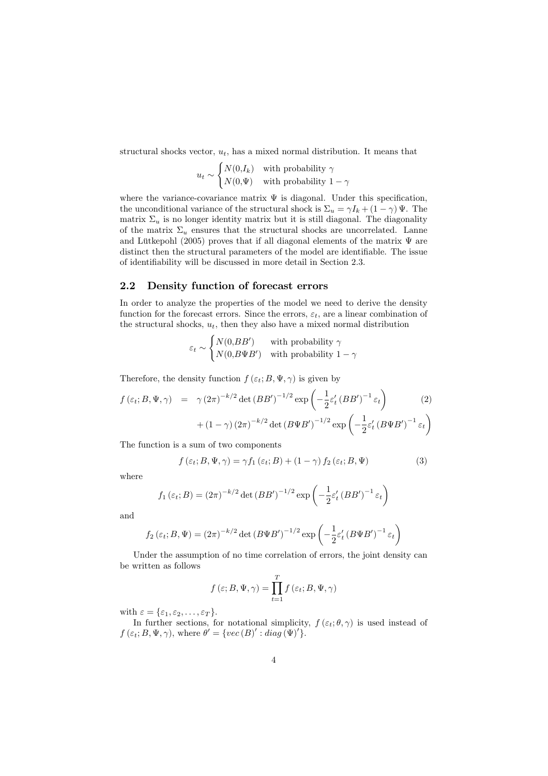structural shocks vector,  $u_t$ , has a mixed normal distribution. It means that

$$
u_t \sim \begin{cases} N(0, I_k) & \text{with probability } \gamma \\ N(0, \Psi) & \text{with probability } 1 - \gamma \end{cases}
$$

where the variance-covariance matrix  $\Psi$  is diagonal. Under this specification, the unconditional variance of the structural shock is  $\Sigma_u = \gamma I_k + (1 - \gamma) \Psi$ . The matrix  $\Sigma_u$  is no longer identity matrix but it is still diagonal. The diagonality of the matrix  $\Sigma_u$  ensures that the structural shocks are uncorrelated. Lanne and Lütkepohl (2005) proves that if all diagonal elements of the matrix  $\Psi$  are distinct then the structural parameters of the model are identifiable. The issue of identifiability will be discussed in more detail in Section 2.3.

#### 2.2 Density function of forecast errors

In order to analyze the properties of the model we need to derive the density function for the forecast errors. Since the errors,  $\varepsilon_t$ , are a linear combination of the structural shocks,  $u_t$ , then they also have a mixed normal distribution

$$
\varepsilon_t \sim \begin{cases} N(0, BB') & \text{with probability } \gamma \\ N(0, B\Psi B') & \text{with probability } 1 - \gamma \end{cases}
$$

Therefore, the density function  $f(\varepsilon_t; B, \Psi, \gamma)$  is given by

$$
f(\varepsilon_t; B, \Psi, \gamma) = \gamma (2\pi)^{-k/2} \det(BB')^{-1/2} \exp\left(-\frac{1}{2}\varepsilon'_t (BB')^{-1} \varepsilon_t\right) \qquad (2)
$$

$$
+ (1 - \gamma) (2\pi)^{-k/2} \det(B\Psi B')^{-1/2} \exp\left(-\frac{1}{2}\varepsilon'_t (B\Psi B')^{-1} \varepsilon_t\right)
$$

The function is a sum of two components

$$
f(\varepsilon_t; B, \Psi, \gamma) = \gamma f_1(\varepsilon_t; B) + (1 - \gamma) f_2(\varepsilon_t; B, \Psi)
$$
\n(3)

j.

where

$$
f_1(\varepsilon_t; B) = (2\pi)^{-k/2} \det(BB')^{-1/2} \exp\left(-\frac{1}{2}\varepsilon'_t (BB')^{-1} \varepsilon_t\right)
$$

and

$$
f_2(\varepsilon_t; B, \Psi) = (2\pi)^{-k/2} \det (B\Psi B')^{-1/2} \exp \left(-\frac{1}{2}\varepsilon'_t (B\Psi B')^{-1} \varepsilon_t\right)
$$

Under the assumption of no time correlation of errors, the joint density can be written as follows

$$
f(\varepsilon; B, \Psi, \gamma) = \prod_{t=1}^{T} f(\varepsilon_t; B, \Psi, \gamma)
$$

with  $\varepsilon = {\varepsilon_1, \varepsilon_2, \ldots, \varepsilon_T}.$ 

In further sections, for notational simplicity,  $f(\varepsilon_t;\theta,\gamma)$  is used instead of  $f(\varepsilon_t; B, \Psi, \gamma)$ , where  $\theta' = \{vec(B)': diag(\Psi)'\}.$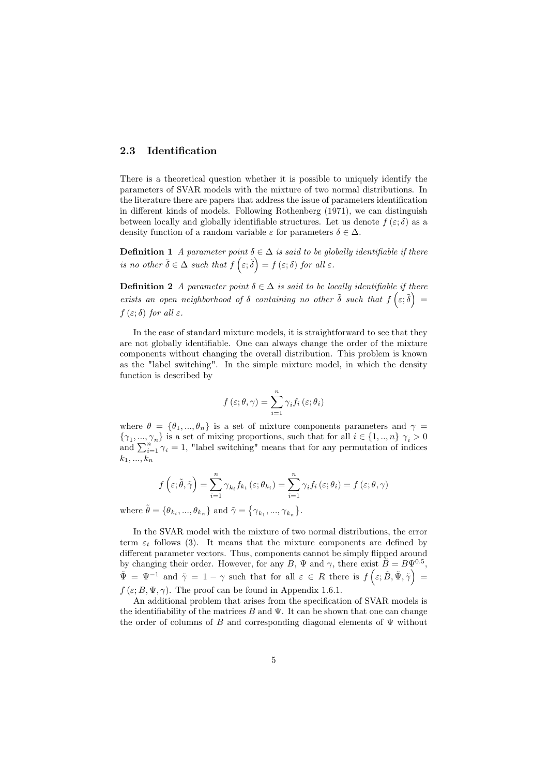#### 2.3 Identification

There is a theoretical question whether it is possible to uniquely identify the parameters of SVAR models with the mixture of two normal distributions. In the literature there are papers that address the issue of parameters identification in different kinds of models. Following Rothenberg (1971), we can distinguish between locally and globally identifiable structures. Let us denote  $f(\varepsilon;\delta)$  as a density function of a random variable  $\varepsilon$  for parameters  $\delta \in \Delta$ .

**Definition 1** A parameter point  $\delta \in \Delta$  is said to be globally identifiable if there is no other  $\tilde{\delta} \in \Delta$  such that  $f\left(\varepsilon; \tilde{\delta}\right) = f\left(\varepsilon; \delta\right)$  for all  $\varepsilon$ .

**Definition 2** A parameter point  $\delta \in \Delta$  is said to be locally identifiable if there exists an open neighborhood of  $\delta$  containing no other  $\tilde{\delta}$  such that  $f(\varepsilon;\tilde{\delta}) =$  $f(\varepsilon;\delta)$  for all  $\varepsilon$ .

In the case of standard mixture models, it is straightforward to see that they are not globally identifiable. One can always change the order of the mixture components without changing the overall distribution. This problem is known as the "label switching". In the simple mixture model, in which the density function is described by

$$
f\left(\varepsilon;\theta,\gamma\right) = \sum_{i=1}^{n} \gamma_i f_i\left(\varepsilon;\theta_i\right)
$$

where  $\theta = {\theta_1, ..., \theta_n}$  is a set of mixture components parameters and  $\gamma =$  $\{\gamma_1, ..., \gamma_n\}$  is a set of mixing proportions, such that for all  $i \in \{1, ..., n\}$   $\gamma_i > 0$  $\{\gamma_1, ..., \gamma_n\}$  is a set of mixing proportions, such that for all  $i \in \{1, ..., n\}$   $\gamma_i > 0$ <br>and  $\sum_{i=1}^n \gamma_i = 1$ , "label switching" means that for any permutation of indices  $k_1, ..., k_n$ 

$$
f\left(\varepsilon;\tilde{\theta},\tilde{\gamma}\right)=\sum_{i=1}^n\gamma_{k_i}f_{k_i}\left(\varepsilon;\theta_{k_i}\right)=\sum_{i=1}^n\gamma_if_i\left(\varepsilon;\theta_i\right)=f\left(\varepsilon;\theta,\gamma\right)
$$

.

where  $\tilde{\theta} = {\theta_{k_i}, ..., \theta_{k_n}}$  and  $\tilde{\gamma} = {\mathcal{A}}$  $\{\gamma_{k_1}, ..., \gamma_{k_n}\}$ 

In the SVAR model with the mixture of two normal distributions, the error term  $\varepsilon_t$  follows (3). It means that the mixture components are defined by different parameter vectors. Thus, components cannot be simply flipped around by changing their order. However, for any B,  $\Psi$  and  $\gamma$ , there exist  $\tilde{B} = B\Psi^{0.5}$ ,  $\tilde{\Psi} = \Psi^{-1}$  and  $\tilde{\gamma} = 1 - \gamma$  such that for all  $\varepsilon \in R$  there is  $f\left(\varepsilon; \tilde{B}, \tilde{\Psi}, \tilde{\gamma}\right) =$  $f(\varepsilon; B, \Psi, \gamma)$ . The proof can be found in Appendix 1.6.1.

An additional problem that arises from the specification of SVAR models is the identifiability of the matrices  $B$  and  $\Psi$ . It can be shown that one can change the order of columns of B and corresponding diagonal elements of  $\Psi$  without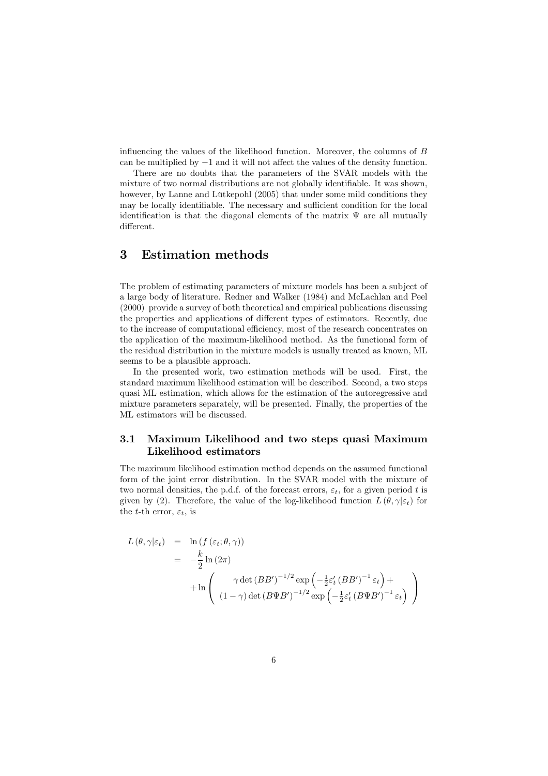influencing the values of the likelihood function. Moreover, the columns of B can be multiplied by −1 and it will not affect the values of the density function.

There are no doubts that the parameters of the SVAR models with the mixture of two normal distributions are not globally identifiable. It was shown, however, by Lanne and Lütkepohl (2005) that under some mild conditions they may be locally identifiable. The necessary and sufficient condition for the local identification is that the diagonal elements of the matrix  $\Psi$  are all mutually different.

## 3 Estimation methods

The problem of estimating parameters of mixture models has been a subject of a large body of literature. Redner and Walker (1984) and McLachlan and Peel (2000) provide a survey of both theoretical and empirical publications discussing the properties and applications of different types of estimators. Recently, due to the increase of computational efficiency, most of the research concentrates on the application of the maximum-likelihood method. As the functional form of the residual distribution in the mixture models is usually treated as known, ML seems to be a plausible approach.

In the presented work, two estimation methods will be used. First, the standard maximum likelihood estimation will be described. Second, a two steps quasi ML estimation, which allows for the estimation of the autoregressive and mixture parameters separately, will be presented. Finally, the properties of the ML estimators will be discussed.

#### 3.1 Maximum Likelihood and two steps quasi Maximum Likelihood estimators

The maximum likelihood estimation method depends on the assumed functional form of the joint error distribution. In the SVAR model with the mixture of two normal densities, the p.d.f. of the forecast errors,  $\varepsilon_t$ , for a given period t is given by (2). Therefore, the value of the log-likelihood function  $L(\theta, \gamma | \varepsilon_t)$  for the t-th error,  $\varepsilon_t$ , is

$$
L(\theta, \gamma | \varepsilon_t) = \ln(f(\varepsilon_t; \theta, \gamma))
$$
  
=  $-\frac{k}{2} \ln(2\pi)$   

$$
+ \ln\left(\frac{\gamma \det(BB')^{-1/2} \exp\left(-\frac{1}{2}\varepsilon'_t (BB')^{-1} \varepsilon_t\right) + \ln\left((1-\gamma) \det(B\Psi B')^{-1/2} \exp\left(-\frac{1}{2}\varepsilon'_t (B\Psi B')^{-1} \varepsilon_t\right)\right)\right)
$$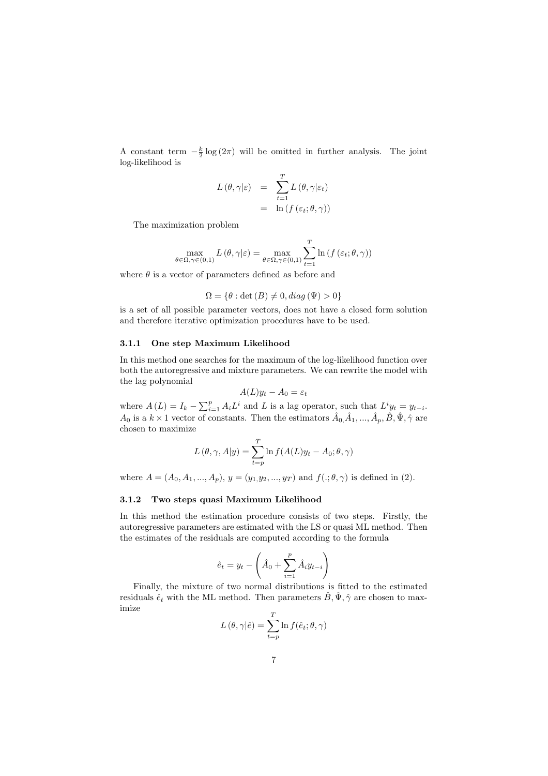A constant term  $-\frac{k}{2} \log(2\pi)$  will be omitted in further analysis. The joint log-likelihood is

$$
L(\theta, \gamma | \varepsilon) = \sum_{t=1}^{T} L(\theta, \gamma | \varepsilon_t)
$$
  
= 
$$
\ln(f(\varepsilon_t; \theta, \gamma))
$$

The maximization problem

$$
\max_{\theta \in \Omega, \gamma \in (0,1)} L(\theta, \gamma | \varepsilon) = \max_{\theta \in \Omega, \gamma \in (0,1)} \sum_{t=1}^{T} \ln \left( f \left( \varepsilon_t; \theta, \gamma \right) \right)
$$

where  $\theta$  is a vector of parameters defined as before and

$$
\Omega = \{ \theta : \det(B) \neq 0, diag(\Psi) > 0 \}
$$

is a set of all possible parameter vectors, does not have a closed form solution and therefore iterative optimization procedures have to be used.

#### 3.1.1 One step Maximum Likelihood

In this method one searches for the maximum of the log-likelihood function over both the autoregressive and mixture parameters. We can rewrite the model with the lag polynomial

$$
A(L)y_t - A_0 = \varepsilon_t
$$

where  $A(L) = I_k - \sum_{i=1}^p A_i L^i$  and L is a lag operator, such that  $L^i y_t = y_{t-i}$ .  $A_0$  is a  $k \times 1$  vector of constants. Then the estimators  $\hat{A}_0, \hat{A}_1, ..., \hat{A}_p, \hat{B}, \hat{\Psi}, \hat{\gamma}$  are chosen to maximize

$$
L(\theta, \gamma, A|y) = \sum_{t=p}^{T} \ln f(A(L)y_t - A_0; \theta, \gamma)
$$

where  $A = (A_0, A_1, ..., A_p), y = (y_1, y_2, ..., y_T)$  and  $f(.; \theta, \gamma)$  is defined in (2).

#### 3.1.2 Two steps quasi Maximum Likelihood

In this method the estimation procedure consists of two steps. Firstly, the autoregressive parameters are estimated with the LS or quasi ML method. Then the estimates of the residuals are computed according to the formula

$$
\hat{e}_t = y_t - \left(\hat{A}_0 + \sum_{i=1}^p \hat{A}_i y_{t-i}\right)
$$

Finally, the mixture of two normal distributions is fitted to the estimated residuals  $\hat{e}_t$  with the ML method. Then parameters  $\hat{B}, \hat{\Psi}, \hat{\gamma}$  are chosen to maximize

$$
L(\theta, \gamma | \hat{e}) = \sum_{t=p}^{T} \ln f(\hat{e}_t; \theta, \gamma)
$$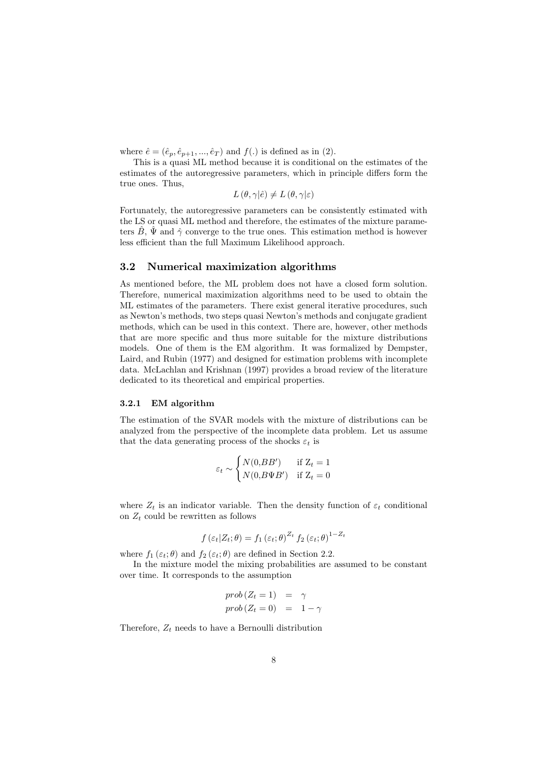where  $\hat{e} = (\hat{e}_p, \hat{e}_{p+1}, ..., \hat{e}_T)$  and  $f(.)$  is defined as in (2).

This is a quasi ML method because it is conditional on the estimates of the estimates of the autoregressive parameters, which in principle differs form the true ones. Thus,

 $L(\theta, \gamma | \hat{e}) \neq L(\theta, \gamma | \varepsilon)$ 

Fortunately, the autoregressive parameters can be consistently estimated with the LS or quasi ML method and therefore, the estimates of the mixture parameters  $\hat{B}$ ,  $\hat{\Psi}$  and  $\hat{\gamma}$  converge to the true ones. This estimation method is however less efficient than the full Maximum Likelihood approach.

#### 3.2 Numerical maximization algorithms

As mentioned before, the ML problem does not have a closed form solution. Therefore, numerical maximization algorithms need to be used to obtain the ML estimates of the parameters. There exist general iterative procedures, such as Newton's methods, two steps quasi Newton's methods and conjugate gradient methods, which can be used in this context. There are, however, other methods that are more specific and thus more suitable for the mixture distributions models. One of them is the EM algorithm. It was formalized by Dempster, Laird, and Rubin (1977) and designed for estimation problems with incomplete data. McLachlan and Krishnan (1997) provides a broad review of the literature dedicated to its theoretical and empirical properties.

#### 3.2.1 EM algorithm

The estimation of the SVAR models with the mixture of distributions can be analyzed from the perspective of the incomplete data problem. Let us assume that the data generating process of the shocks  $\varepsilon_t$  is

$$
\varepsilon_t \sim \begin{cases} N(0, BB') & \text{if } Z_t = 1 \\ N(0, B\Psi B') & \text{if } Z_t = 0 \end{cases}
$$

where  $Z_t$  is an indicator variable. Then the density function of  $\varepsilon_t$  conditional on  $Z_t$  could be rewritten as follows

$$
f(\varepsilon_t | Z_t; \theta) = f_1(\varepsilon_t; \theta)^{Z_t} f_2(\varepsilon_t; \theta)^{1 - Z_t}
$$

where  $f_1(\varepsilon_t; \theta)$  and  $f_2(\varepsilon_t; \theta)$  are defined in Section 2.2.

i.

In the mixture model the mixing probabilities are assumed to be constant over time. It corresponds to the assumption

$$
\begin{array}{rcl}\nprob\left(Z_{t}=1\right) & = & \gamma\\ \nprob\left(Z_{t}=0\right) & = & 1-\gamma\n\end{array}
$$

Therefore,  $Z_t$  needs to have a Bernoulli distribution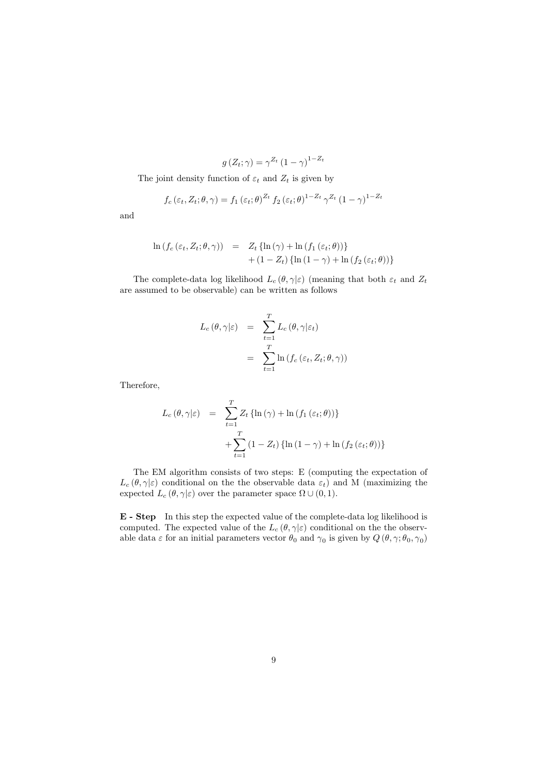$$
g(Z_t; \gamma) = \gamma^{Z_t} (1 - \gamma)^{1 - Z_t}
$$

The joint density function of  $\varepsilon_t$  and  $Z_t$  is given by

$$
f_c(\varepsilon_t, Z_t; \theta, \gamma) = f_1(\varepsilon_t; \theta)^{Z_t} f_2(\varepsilon_t; \theta)^{1 - Z_t} \gamma^{Z_t} (1 - \gamma)^{1 - Z_t}
$$

and

$$
\ln (f_c(\varepsilon_t, Z_t; \theta, \gamma)) = Z_t \{ \ln (\gamma) + \ln (f_1(\varepsilon_t; \theta)) \}
$$
  
+ (1 - Z\_t) \{ \ln (1 - \gamma) + \ln (f\_2(\varepsilon\_t; \theta)) \}

The complete-data log likelihood  $L_c(\theta, \gamma | \varepsilon)$  (meaning that both  $\varepsilon_t$  and  $Z_t$ are assumed to be observable) can be written as follows

$$
L_c(\theta, \gamma | \varepsilon) = \sum_{t=1}^T L_c(\theta, \gamma | \varepsilon_t)
$$
  
= 
$$
\sum_{t=1}^T \ln (f_c(\varepsilon_t, Z_t; \theta, \gamma))
$$

Therefore,

$$
L_c(\theta, \gamma | \varepsilon) = \sum_{t=1}^T Z_t \{ \ln(\gamma) + \ln(f_1(\varepsilon_t; \theta)) \}
$$
  
+ 
$$
\sum_{t=1}^T (1 - Z_t) \{ \ln(1 - \gamma) + \ln(f_2(\varepsilon_t; \theta)) \}
$$

The EM algorithm consists of two steps: E (computing the expectation of  $L_c(\theta, \gamma|\varepsilon)$  conditional on the the observable data  $\varepsilon_t$ ) and M (maximizing the expected  $L_c(\theta, \gamma | \varepsilon)$  over the parameter space  $\Omega \cup (0, 1)$ .

E - Step In this step the expected value of the complete-data log likelihood is computed. The expected value of the  $L_c(\theta, \gamma | \varepsilon)$  conditional on the the observable data  $\varepsilon$  for an initial parameters vector  $\theta_0$  and  $\gamma_0$  is given by  $Q(\theta, \gamma; \theta_0, \gamma_0)$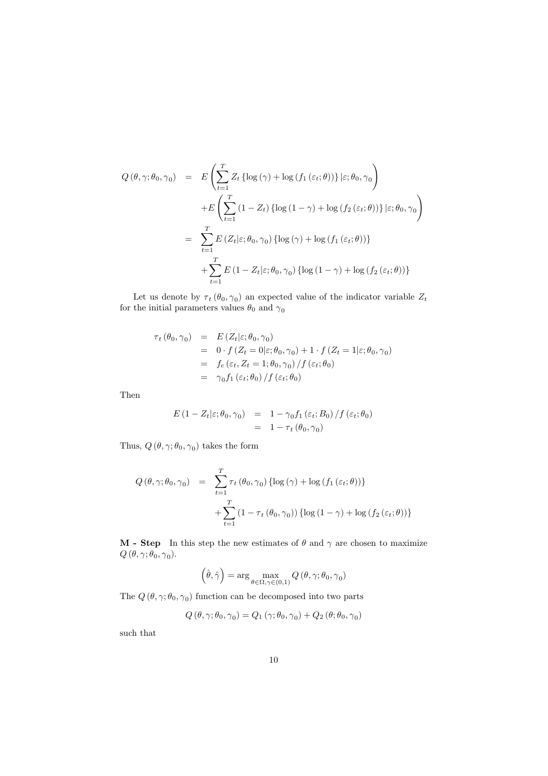$$
Q(\theta, \gamma; \theta_0, \gamma_0) = E\left(\sum_{t=1}^T Z_t \left\{\log(\gamma) + \log(f_1(\varepsilon_t; \theta))\right\} | \varepsilon; \theta_0, \gamma_0\right)
$$
  
+
$$
E\left(\sum_{t=1}^T (1 - Z_t) \left\{\log(1 - \gamma) + \log(f_2(\varepsilon_t; \theta))\right\} | \varepsilon; \theta_0, \gamma_0\right)
$$
  
= 
$$
\sum_{t=1}^T E\left(Z_t | \varepsilon; \theta_0, \gamma_0\right) \left\{\log(\gamma) + \log(f_1(\varepsilon_t; \theta))\right\}
$$
  
+
$$
\sum_{t=1}^T E\left(1 - Z_t | \varepsilon; \theta_0, \gamma_0\right) \left\{\log(1 - \gamma) + \log(f_2(\varepsilon_t; \theta))\right\}
$$

Let us denote by  $\tau_t(\theta_0, \gamma_0)$  an expected value of the indicator variable  $Z_t$ for the initial parameters values  $\theta_0$  and  $\gamma_0$ 

$$
\tau_t (\theta_0, \gamma_0) = E(Z_t | \varepsilon; \theta_0, \gamma_0)
$$
  
= 0 \cdot f(Z\_t = 0 | \varepsilon; \theta\_0, \gamma\_0) + 1 \cdot f(Z\_t = 1 | \varepsilon; \theta\_0, \gamma\_0)  
= f\_c(\varepsilon\_t, Z\_t = 1; \theta\_0, \gamma\_0) / f(\varepsilon\_t; \theta\_0)  
= \gamma\_0 f\_1(\varepsilon\_t; \theta\_0) / f(\varepsilon\_t; \theta\_0)

Then

$$
E(1 - Z_t | \varepsilon; \theta_0, \gamma_0) = 1 - \gamma_0 f_1(\varepsilon_t; B_0) / f(\varepsilon_t; \theta_0)
$$
  
= 1 - \tau\_t(\theta\_0, \gamma\_0)

Thus,  $Q(\theta, \gamma; \theta_0, \gamma_0)$  takes the form

$$
Q(\theta, \gamma; \theta_0, \gamma_0) = \sum_{t=1}^T \tau_t (\theta_0, \gamma_0) \{ \log(\gamma) + \log(f_1(\varepsilon_t; \theta)) \}
$$

$$
+ \sum_{t=1}^T (1 - \tau_t (\theta_0, \gamma_0)) \{ \log(1 - \gamma) + \log(f_2(\varepsilon_t; \theta)) \}
$$

**M** - **Step** In this step the new estimates of  $\theta$  and  $\gamma$  are chosen to maximize  $Q(\theta, \gamma; \theta_0, \gamma_0).$ 

$$
\left(\hat{\theta}, \hat{\gamma}\right) = \arg\max_{\theta \in \Omega, \gamma \in (0,1)} Q\left(\theta, \gamma; \theta_0, \gamma_0\right)
$$

The  $Q(\theta, \gamma; \theta_0, \gamma_0)$  function can be decomposed into two parts

$$
Q(\theta, \gamma; \theta_0, \gamma_0) = Q_1(\gamma; \theta_0, \gamma_0) + Q_2(\theta; \theta_0, \gamma_0)
$$

such that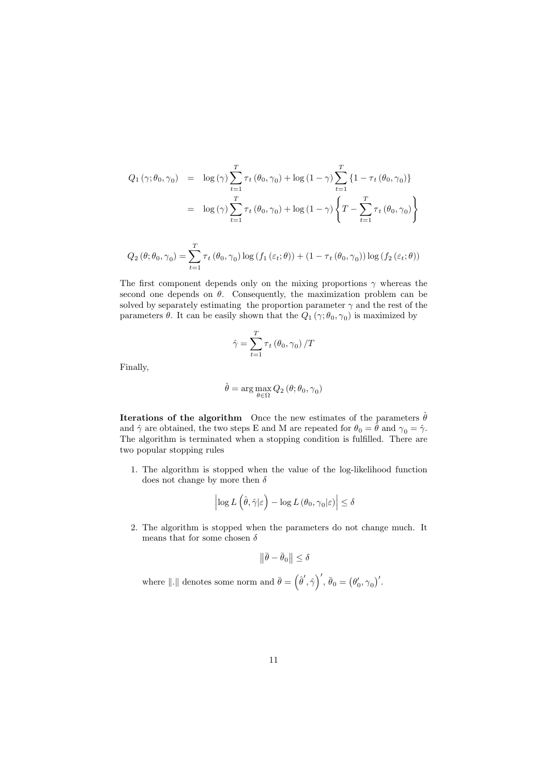$$
Q_{1}(\gamma; \theta_{0}, \gamma_{0}) = \log(\gamma) \sum_{t=1}^{T} \tau_{t}(\theta_{0}, \gamma_{0}) + \log(1 - \gamma) \sum_{t=1}^{T} \{1 - \tau_{t}(\theta_{0}, \gamma_{0})\}
$$

$$
= \log(\gamma) \sum_{t=1}^{T} \tau_{t}(\theta_{0}, \gamma_{0}) + \log(1 - \gamma) \left\{T - \sum_{t=1}^{T} \tau_{t}(\theta_{0}, \gamma_{0})\right\}
$$

$$
Q_{2}(\theta; \theta_{0}, \gamma_{0}) = \sum_{t=1}^{T} \tau_{t}(\theta_{0}, \gamma_{0}) \log(f_{1}(\varepsilon_{t}; \theta)) + (1 - \tau_{t}(\theta_{0}, \gamma_{0})) \log(f_{2}(\varepsilon_{t}; \theta))
$$

The first component depends only on the mixing proportions  $\gamma$  whereas the second one depends on  $\theta$ . Consequently, the maximization problem can be solved by separately estimating the proportion parameter  $\gamma$  and the rest of the parameters  $\theta$ . It can be easily shown that the  $Q_1(\gamma; \theta_0, \gamma_0)$  is maximized by

$$
\hat{\gamma} = \sum_{t=1}^{T} \tau_t \left( \theta_0, \gamma_0 \right) / T
$$

Finally,

$$
\hat{\theta} = \arg\max_{\theta \in \Omega} Q_2 \left( \theta; \theta_0, \gamma_0 \right)
$$

**Iterations of the algorithm** Once the new estimates of the parameters  $\hat{\theta}$ and  $\hat{\gamma}$  are obtained, the two steps E and M are repeated for  $\theta_0 = \hat{\theta}$  and  $\gamma_0 = \hat{\gamma}$ . The algorithm is terminated when a stopping condition is fulfilled. There are two popular stopping rules

1. The algorithm is stopped when the value of the log-likelihood function does not change by more then  $\delta$ 

$$
\left|\log L\left(\hat{\theta}, \hat{\gamma}|\varepsilon\right) - \log L\left(\theta_0, \gamma_0|\varepsilon\right)\right| \le \delta
$$

2. The algorithm is stopped when the parameters do not change much. It means that for some chosen  $\delta$ 

$$
\left\|\bar{\theta} - \bar{\theta}_0\right\| \le \delta
$$

where  $\|.\|$  denotes some norm and  $\bar{\theta} =$  ${\hat{\theta}}', \hat{\gamma}$  $\sqrt{2}$  $\overline{\theta}_0 = (\theta'_0, \gamma_0)'$ .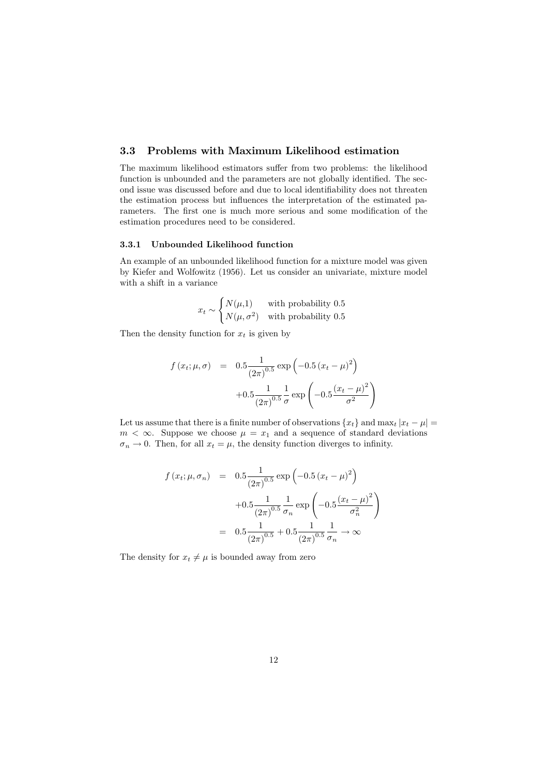#### 3.3 Problems with Maximum Likelihood estimation

The maximum likelihood estimators suffer from two problems: the likelihood function is unbounded and the parameters are not globally identified. The second issue was discussed before and due to local identifiability does not threaten the estimation process but influences the interpretation of the estimated parameters. The first one is much more serious and some modification of the estimation procedures need to be considered.

#### 3.3.1 Unbounded Likelihood function

An example of an unbounded likelihood function for a mixture model was given by Kiefer and Wolfowitz (1956). Let us consider an univariate, mixture model with a shift in a variance

$$
x_t \sim \begin{cases} N(\mu, 1) & \text{with probability } 0.5\\ N(\mu, \sigma^2) & \text{with probability } 0.5 \end{cases}
$$

Then the density function for  $x_t$  is given by

$$
f(x_t; \mu, \sigma) = 0.5 \frac{1}{(2\pi)^{0.5}} \exp\left(-0.5 (x_t - \mu)^2\right)
$$

$$
+ 0.5 \frac{1}{(2\pi)^{0.5}} \frac{1}{\sigma} \exp\left(-0.5 \frac{(x_t - \mu)^2}{\sigma^2}\right)
$$

Let us assume that there is a finite number of observations  $\{x_t\}$  and  $\max_t |x_t - \mu|$  $m < \infty$ . Suppose we choose  $\mu = x_1$  and a sequence of standard deviations  $\sigma_n \to 0$ . Then, for all  $x_t = \mu$ , the density function diverges to infinity.

$$
f(x_t; \mu, \sigma_n) = 0.5 \frac{1}{(2\pi)^{0.5}} \exp\left(-0.5 (x_t - \mu)^2\right)
$$

$$
+ 0.5 \frac{1}{(2\pi)^{0.5}} \frac{1}{\sigma_n} \exp\left(-0.5 \frac{(x_t - \mu)^2}{\sigma_n^2}\right)
$$

$$
= 0.5 \frac{1}{(2\pi)^{0.5}} + 0.5 \frac{1}{(2\pi)^{0.5}} \frac{1}{\sigma_n} \to \infty
$$

The density for  $x_t \neq \mu$  is bounded away from zero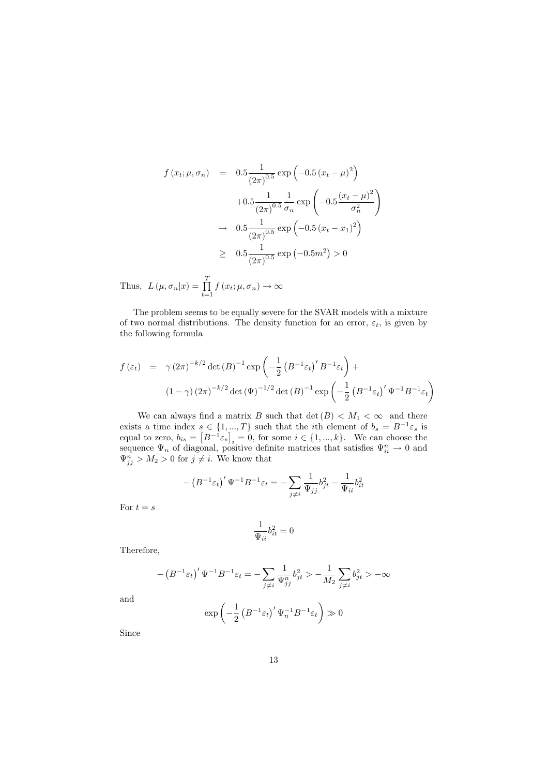$$
f(x_t; \mu, \sigma_n) = 0.5 \frac{1}{(2\pi)^{0.5}} \exp\left(-0.5 (x_t - \mu)^2\right)
$$

$$
+ 0.5 \frac{1}{(2\pi)^{0.5}} \frac{1}{\sigma_n} \exp\left(-0.5 \frac{(x_t - \mu)^2}{\sigma_n^2}\right)
$$

$$
\to 0.5 \frac{1}{(2\pi)^{0.5}} \exp\left(-0.5 (x_t - x_1)^2\right)
$$

$$
\ge 0.5 \frac{1}{(2\pi)^{0.5}} \exp(-0.5m^2) > 0
$$

Thus,  $L(\mu, \sigma_n|x) = \prod^T$  $\prod_{t=1} f(x_t; \mu, \sigma_n) \to \infty$ 

The problem seems to be equally severe for the SVAR models with a mixture of two normal distributions. The density function for an error,  $\varepsilon_t$ , is given by the following formula

$$
f(\varepsilon_t) = \gamma (2\pi)^{-k/2} \det(B)^{-1} \exp\left(-\frac{1}{2} \left(B^{-1} \varepsilon_t\right)' B^{-1} \varepsilon_t\right) +
$$
  

$$
(1 - \gamma) (2\pi)^{-k/2} \det(\Psi)^{-1/2} \det(B)^{-1} \exp\left(-\frac{1}{2} \left(B^{-1} \varepsilon_t\right)' \Psi^{-1} B^{-1} \varepsilon_t\right)
$$

We can always find a matrix B such that  $\det(B) < M_1 < \infty$  and there exists a time index  $s \in \{1, ..., T\}$  such that the *i*th element of  $b_s = B^{-1} \varepsilon_s$  is equal to zero,  $b_{is} = [B^{-1} \varepsilon_s]_i = 0$ , for some  $i \in \{1, ..., k\}$ . We can choose the  $i = 0$ , for some  $i \in \{1, ..., k\}$ . We can choose the sequence  $\Psi_n$  of diagonal, positive definite matrices that satisfies  $\Psi_{ii}^n \to 0$  and  $\Psi_{ij}^n > M_2 > 0$  for  $j \neq i$ . We know that

$$
-\left(B^{-1}\varepsilon_t\right)'\Psi^{-1}B^{-1}\varepsilon_t=-\sum_{j\neq i}\frac{1}{\Psi_{jj}}b_{jt}^2-\frac{1}{\Psi_{ii}}b_{it}^2
$$

For  $t = s$ 

$$
\frac{1}{\Psi_{ii}}b_{it}^2 = 0
$$

Therefore,

$$
-\left(B^{-1}\varepsilon_t\right)'\Psi^{-1}B^{-1}\varepsilon_t=-\sum_{j\neq i}\frac{1}{\Psi_{jj}^n}b_{jt}^2>-\frac{1}{M_2}\sum_{j\neq i}b_{jt}^2>-\infty
$$

and

$$
\exp\left(-\frac{1}{2}\left(B^{-1}\varepsilon_t\right)'\Psi_n^{-1}B^{-1}\varepsilon_t\right) \gg 0
$$

Since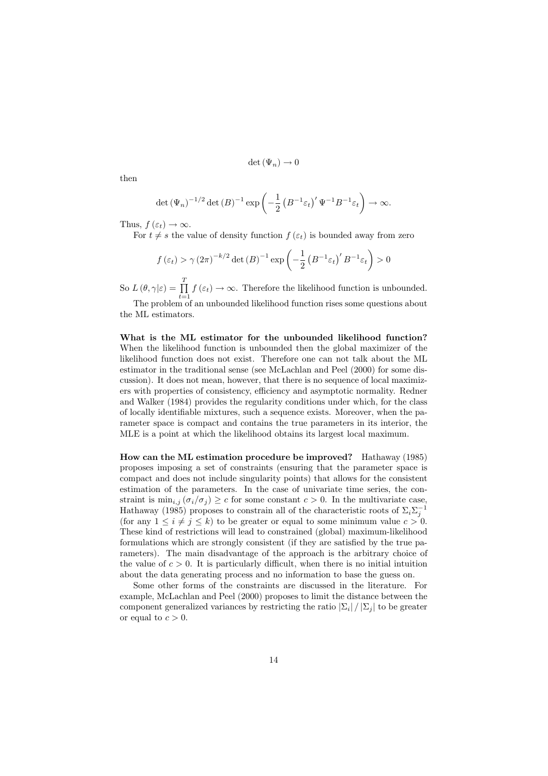$$
\det (\Psi_n) \to 0
$$

then

$$
\det (\Psi_n)^{-1/2} \det (B)^{-1} \exp \left(-\frac{1}{2} \left(B^{-1} \varepsilon_t\right)' \Psi^{-1} B^{-1} \varepsilon_t\right) \to \infty.
$$

Thus,  $f(\varepsilon_t) \to \infty$ .

For  $t \neq s$  the value of density function  $f(\varepsilon_t)$  is bounded away from zero

$$
f\left(\varepsilon_{t}\right) > \gamma (2\pi)^{-k/2} \det(B)^{-1} \exp\left(-\frac{1}{2} \left(B^{-1} \varepsilon_{t}\right)^{t} B^{-1} \varepsilon_{t}\right) > 0
$$

So  $L(\theta, \gamma | \varepsilon) = \prod^{T}$  $\prod_{t=1} f(\varepsilon_t) \to \infty$ . Therefore the likelihood function is unbounded.

The problem of an unbounded likelihood function rises some questions about the ML estimators.

What is the ML estimator for the unbounded likelihood function? When the likelihood function is unbounded then the global maximizer of the likelihood function does not exist. Therefore one can not talk about the ML estimator in the traditional sense (see McLachlan and Peel (2000) for some discussion). It does not mean, however, that there is no sequence of local maximizers with properties of consistency, efficiency and asymptotic normality. Redner and Walker (1984) provides the regularity conditions under which, for the class of locally identifiable mixtures, such a sequence exists. Moreover, when the parameter space is compact and contains the true parameters in its interior, the MLE is a point at which the likelihood obtains its largest local maximum.

How can the ML estimation procedure be improved? Hathaway (1985) proposes imposing a set of constraints (ensuring that the parameter space is compact and does not include singularity points) that allows for the consistent estimation of the parameters. In the case of univariate time series, the constraint is  $\min_{i,j} (\sigma_i/\sigma_j) \geq c$  for some constant  $c > 0$ . In the multivariate case, Hathaway (1985) proposes to constrain all of the characteristic roots of  $\Sigma_i \Sigma_j^{-1}$ (for any  $1 \leq i \neq j \leq k$ ) to be greater or equal to some minimum value  $c > 0$ . These kind of restrictions will lead to constrained (global) maximum-likelihood formulations which are strongly consistent (if they are satisfied by the true parameters). The main disadvantage of the approach is the arbitrary choice of the value of  $c > 0$ . It is particularly difficult, when there is no initial intuition about the data generating process and no information to base the guess on.

Some other forms of the constraints are discussed in the literature. For example, McLachlan and Peel (2000) proposes to limit the distance between the component generalized variances by restricting the ratio  $|\Sigma_i|/|\Sigma_i|$  to be greater or equal to  $c > 0$ .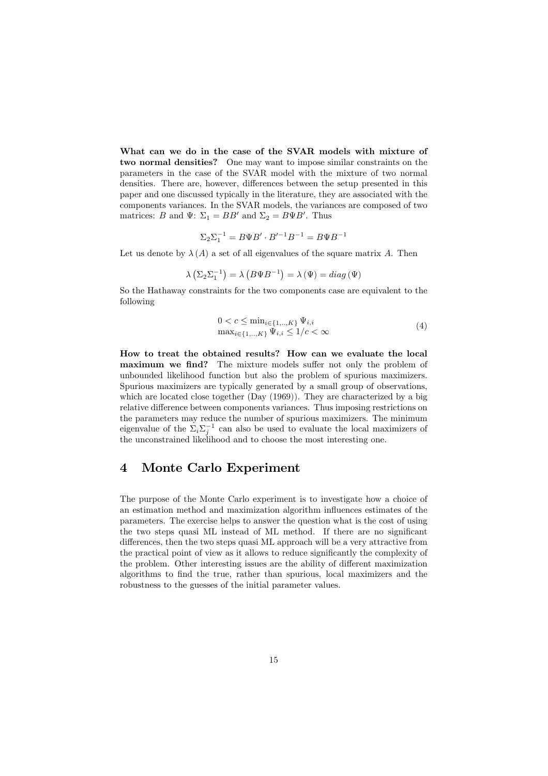What can we do in the case of the SVAR models with mixture of two normal densities? One may want to impose similar constraints on the parameters in the case of the SVAR model with the mixture of two normal densities. There are, however, differences between the setup presented in this paper and one discussed typically in the literature, they are associated with the components variances. In the SVAR models, the variances are composed of two matrices: B and  $\Psi$ :  $\Sigma_1 = BB'$  and  $\Sigma_2 = B\Psi B'$ . Thus

$$
\Sigma_2 \Sigma_1^{-1} = B \Psi B' \cdot B'^{-1} B^{-1} = B \Psi B^{-1}
$$

Let us denote by  $\lambda(A)$  a set of all eigenvalues of the square matrix A. Then

$$
\lambda \left( \Sigma_2 \Sigma_1^{-1} \right) = \lambda \left( B \Psi B^{-1} \right) = \lambda \left( \Psi \right) = diag \left( \Psi \right)
$$

So the Hathaway constraints for the two components case are equivalent to the following

$$
0 < c \le \min_{i \in \{1, ..., K\}} \Psi_{i,i} \max_{i \in \{1, ..., K\}} \Psi_{i,i} \le 1/c < \infty
$$
\n(4)

How to treat the obtained results? How can we evaluate the local maximum we find? The mixture models suffer not only the problem of unbounded likelihood function but also the problem of spurious maximizers. Spurious maximizers are typically generated by a small group of observations, which are located close together (Day (1969)). They are characterized by a big relative difference between components variances. Thus imposing restrictions on the parameters may reduce the number of spurious maximizers. The minimum eigenvalue of the  $\sum_{i=1}^{1} \sum_{j=1}^{n}$  can also be used to evaluate the local maximizers of the unconstrained likelihood and to choose the most interesting one.

### 4 Monte Carlo Experiment

The purpose of the Monte Carlo experiment is to investigate how a choice of an estimation method and maximization algorithm influences estimates of the parameters. The exercise helps to answer the question what is the cost of using the two steps quasi ML instead of ML method. If there are no significant differences, then the two steps quasi ML approach will be a very attractive from the practical point of view as it allows to reduce significantly the complexity of the problem. Other interesting issues are the ability of different maximization algorithms to find the true, rather than spurious, local maximizers and the robustness to the guesses of the initial parameter values.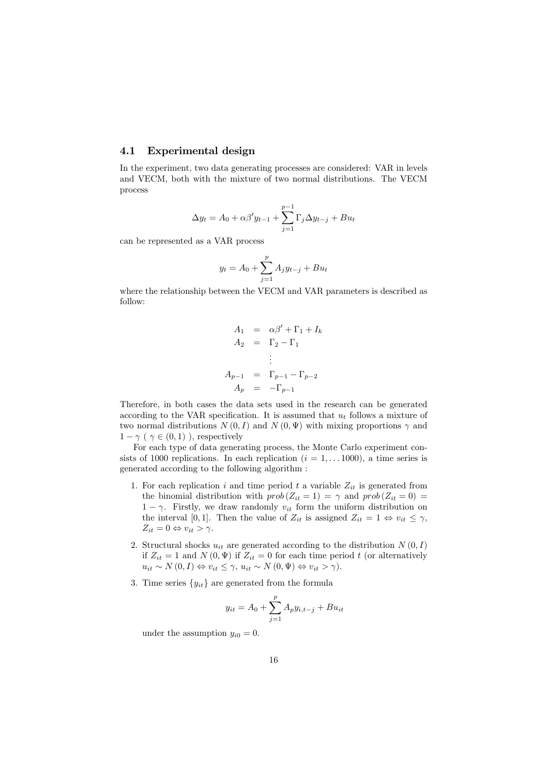#### 4.1 Experimental design

In the experiment, two data generating processes are considered: VAR in levels and VECM, both with the mixture of two normal distributions. The VECM process

$$
\Delta y_t = A_0 + \alpha \beta' y_{t-1} + \sum_{j=1}^{p-1} \Gamma_j \Delta y_{t-j} + B u_t
$$

can be represented as a VAR process

$$
y_t = A_0 + \sum_{j=1}^{p} A_j y_{t-j} + B u_t
$$

where the relationship between the VECM and VAR parameters is described as follow:

$$
A_1 = \alpha \beta' + \Gamma_1 + I_k
$$
  
\n
$$
A_2 = \Gamma_2 - \Gamma_1
$$
  
\n
$$
\vdots
$$
  
\n
$$
A_{p-1} = \Gamma_{p-1} - \Gamma_{p-2}
$$
  
\n
$$
A_p = -\Gamma_{p-1}
$$

Therefore, in both cases the data sets used in the research can be generated according to the VAR specification. It is assumed that  $u_t$  follows a mixture of two normal distributions  $N(0, I)$  and  $N(0, \Psi)$  with mixing proportions  $\gamma$  and  $1 - \gamma$  (  $\gamma \in (0, 1)$ ), respectively

For each type of data generating process, the Monte Carlo experiment consists of 1000 replications. In each replication  $(i = 1, \ldots 1000)$ , a time series is generated according to the following algorithm :

- 1. For each replication i and time period t a variable  $Z_{it}$  is generated from the binomial distribution with  $prob(Z_{it} = 1) = \gamma$  and  $prob(Z_{it} = 0) =$  $1 - \gamma$ . Firstly, we draw randomly  $v_{it}$  form the uniform distribution on the interval [0, 1]. Then the value of  $Z_{it}$  is assigned  $Z_{it} = 1 \Leftrightarrow v_{it} \leq \gamma$ ,  $Z_{it} = 0 \Leftrightarrow v_{it} > \gamma.$
- 2. Structural shocks  $u_{it}$  are generated according to the distribution  $N(0, I)$ if  $Z_{it} = 1$  and  $N(0, \Psi)$  if  $Z_{it} = 0$  for each time period t (or alternatively  $u_{it} \sim N(0, I) \Leftrightarrow v_{it} \leq \gamma, u_{it} \sim N(0, \Psi) \Leftrightarrow v_{it} > \gamma$ .
- 3. Time series  $\{y_{it}\}\$ are generated from the formula

$$
y_{it} = A_0 + \sum_{i=1}^{p} A_p y_{i,t-j} + B u_{it}
$$

under the assumption  $y_{i0} = 0$ .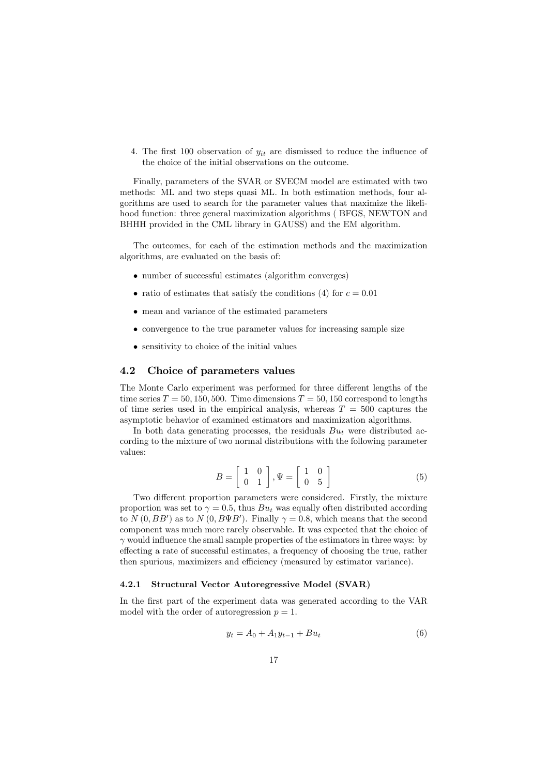4. The first 100 observation of  $y_{it}$  are dismissed to reduce the influence of the choice of the initial observations on the outcome.

Finally, parameters of the SVAR or SVECM model are estimated with two methods: ML and two steps quasi ML. In both estimation methods, four algorithms are used to search for the parameter values that maximize the likelihood function: three general maximization algorithms ( BFGS, NEWTON and BHHH provided in the CML library in GAUSS) and the EM algorithm.

The outcomes, for each of the estimation methods and the maximization algorithms, are evaluated on the basis of:

- number of successful estimates (algorithm converges)
- ratio of estimates that satisfy the conditions (4) for  $c = 0.01$
- mean and variance of the estimated parameters
- convergence to the true parameter values for increasing sample size
- sensitivity to choice of the initial values

#### 4.2 Choice of parameters values

The Monte Carlo experiment was performed for three different lengths of the time series  $T = 50, 150, 500$ . Time dimensions  $T = 50, 150$  correspond to lengths of time series used in the empirical analysis, whereas  $T = 500$  captures the asymptotic behavior of examined estimators and maximization algorithms.

In both data generating processes, the residuals  $Bu_t$  were distributed according to the mixture of two normal distributions with the following parameter values:

$$
B = \left[ \begin{array}{cc} 1 & 0 \\ 0 & 1 \end{array} \right], \Psi = \left[ \begin{array}{cc} 1 & 0 \\ 0 & 5 \end{array} \right] \tag{5}
$$

Two different proportion parameters were considered. Firstly, the mixture proportion was set to  $\gamma = 0.5$ , thus  $Bu_t$  was equally often distributed according to  $N(0, BB')$  as to  $N(0, B\Psi B')$ . Finally  $\gamma = 0.8$ , which means that the second component was much more rarely observable. It was expected that the choice of  $\gamma$  would influence the small sample properties of the estimators in three ways: by effecting a rate of successful estimates, a frequency of choosing the true, rather then spurious, maximizers and efficiency (measured by estimator variance).

#### 4.2.1 Structural Vector Autoregressive Model (SVAR)

In the first part of the experiment data was generated according to the VAR model with the order of autoregression  $p = 1$ .

$$
y_t = A_0 + A_1 y_{t-1} + B u_t \tag{6}
$$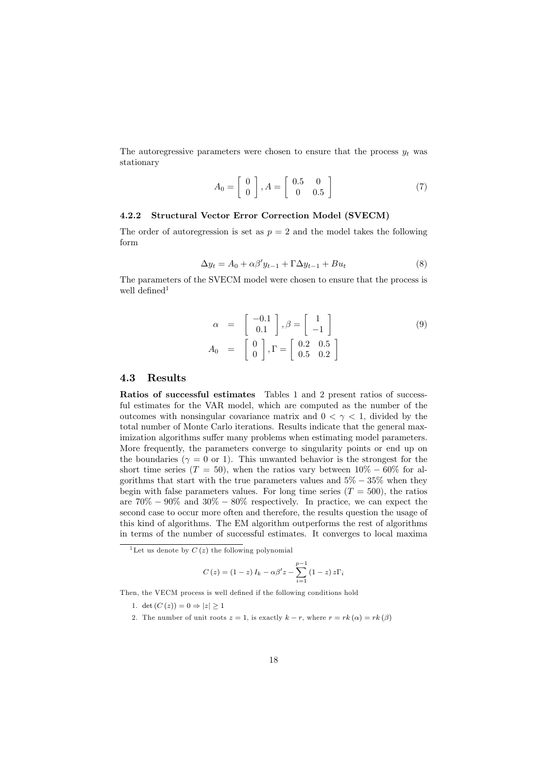The autoregressive parameters were chosen to ensure that the process  $y_t$  was stationary

$$
A_0 = \left[ \begin{array}{c} 0 \\ 0 \end{array} \right], A = \left[ \begin{array}{cc} 0.5 & 0 \\ 0 & 0.5 \end{array} \right] \tag{7}
$$

#### 4.2.2 Structural Vector Error Correction Model (SVECM)

The order of autoregression is set as  $p = 2$  and the model takes the following form

$$
\Delta y_t = A_0 + \alpha \beta' y_{t-1} + \Gamma \Delta y_{t-1} + B u_t \tag{8}
$$

The parameters of the SVECM model were chosen to ensure that the process is well defined $1$ 

$$
\alpha = \begin{bmatrix} -0.1 \\ 0.1 \end{bmatrix}, \beta = \begin{bmatrix} 1 \\ -1 \end{bmatrix}
$$
(9)  

$$
A_0 = \begin{bmatrix} 0 \\ 0 \end{bmatrix}, \Gamma = \begin{bmatrix} 0.2 & 0.5 \\ 0.5 & 0.2 \end{bmatrix}
$$

#### 4.3 Results

Ratios of successful estimates Tables 1 and 2 present ratios of successful estimates for the VAR model, which are computed as the number of the outcomes with nonsingular covariance matrix and  $0 < \gamma < 1$ , divided by the total number of Monte Carlo iterations. Results indicate that the general maximization algorithms suffer many problems when estimating model parameters. More frequently, the parameters converge to singularity points or end up on the boundaries ( $\gamma = 0$  or 1). This unwanted behavior is the strongest for the short time series ( $T = 50$ ), when the ratios vary between  $10\% - 60\%$  for algorithms that start with the true parameters values and  $5\% - 35\%$  when they begin with false parameters values. For long time series  $(T = 500)$ , the ratios are  $70\% - 90\%$  and  $30\% - 80\%$  respectively. In practice, we can expect the second case to occur more often and therefore, the results question the usage of this kind of algorithms. The EM algorithm outperforms the rest of algorithms in terms of the number of successful estimates. It converges to local maxima

$$
C(z) = (1-z) I_k - \alpha \beta' z - \sum_{i=1}^{p-1} (1-z) z \Gamma_i
$$

Then, the VECM process is well defined if the following conditions hold

- 1. det  $(C(z)) = 0 \Rightarrow |z| \geq 1$
- 2. The number of unit roots  $z = 1$ , is exactly  $k r$ , where  $r = rk(\alpha) = rk(\beta)$

<sup>&</sup>lt;sup>1</sup>Let us denote by  $C(z)$  the following polynomial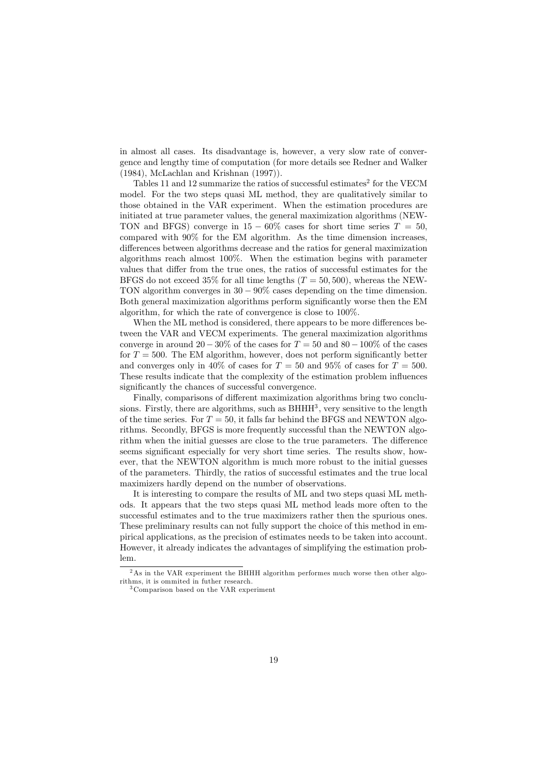in almost all cases. Its disadvantage is, however, a very slow rate of convergence and lengthy time of computation (for more details see Redner and Walker (1984), McLachlan and Krishnan (1997)).

Tables 11 and 12 summarize the ratios of successful estimates<sup>2</sup> for the VECM model. For the two steps quasi ML method, they are qualitatively similar to those obtained in the VAR experiment. When the estimation procedures are initiated at true parameter values, the general maximization algorithms (NEW-TON and BFGS) converge in  $15 - 60\%$  cases for short time series  $T = 50$ , compared with 90% for the EM algorithm. As the time dimension increases, differences between algorithms decrease and the ratios for general maximization algorithms reach almost 100%. When the estimation begins with parameter values that differ from the true ones, the ratios of successful estimates for the BFGS do not exceed 35% for all time lengths  $(T = 50, 500)$ , whereas the NEW-TON algorithm converges in 30 − 90% cases depending on the time dimension. Both general maximization algorithms perform significantly worse then the EM algorithm, for which the rate of convergence is close to 100%.

When the ML method is considered, there appears to be more differences between the VAR and VECM experiments. The general maximization algorithms converge in around 20 – 30% of the cases for  $T = 50$  and 80 – 100% of the cases for  $T = 500$ . The EM algorithm, however, does not perform significantly better and converges only in 40% of cases for  $T = 50$  and 95% of cases for  $T = 500$ . These results indicate that the complexity of the estimation problem influences significantly the chances of successful convergence.

Finally, comparisons of different maximization algorithms bring two conclusions. Firstly, there are algorithms, such as  $BHHH<sup>3</sup>$ , very sensitive to the length of the time series. For  $T = 50$ , it falls far behind the BFGS and NEWTON algorithms. Secondly, BFGS is more frequently successful than the NEWTON algorithm when the initial guesses are close to the true parameters. The difference seems significant especially for very short time series. The results show, however, that the NEWTON algorithm is much more robust to the initial guesses of the parameters. Thirdly, the ratios of successful estimates and the true local maximizers hardly depend on the number of observations.

It is interesting to compare the results of ML and two steps quasi ML methods. It appears that the two steps quasi ML method leads more often to the successful estimates and to the true maximizers rather then the spurious ones. These preliminary results can not fully support the choice of this method in empirical applications, as the precision of estimates needs to be taken into account. However, it already indicates the advantages of simplifying the estimation problem.

 $2\,\mathrm{As}$  in the VAR experiment the BHHH algorithm performes much worse then other algorithms, it is ommited in futher research.

<sup>3</sup> Comparison based on the VAR experiment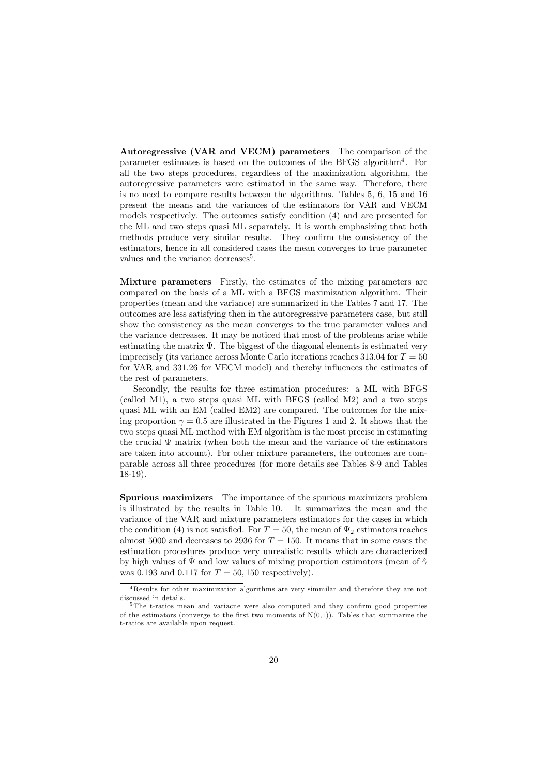Autoregressive (VAR and VECM) parameters The comparison of the parameter estimates is based on the outcomes of the BFGS algorithm4 . For all the two steps procedures, regardless of the maximization algorithm, the autoregressive parameters were estimated in the same way. Therefore, there is no need to compare results between the algorithms. Tables 5, 6, 15 and 16 present the means and the variances of the estimators for VAR and VECM models respectively. The outcomes satisfy condition (4) and are presented for the ML and two steps quasi ML separately. It is worth emphasizing that both methods produce very similar results. They confirm the consistency of the estimators, hence in all considered cases the mean converges to true parameter values and the variance decreases<sup>5</sup>.

Mixture parameters Firstly, the estimates of the mixing parameters are compared on the basis of a ML with a BFGS maximization algorithm. Their properties (mean and the variance) are summarized in the Tables 7 and 17. The outcomes are less satisfying then in the autoregressive parameters case, but still show the consistency as the mean converges to the true parameter values and the variance decreases. It may be noticed that most of the problems arise while estimating the matrix  $\Psi$ . The biggest of the diagonal elements is estimated very imprecisely (its variance across Monte Carlo iterations reaches 313.04 for  $T = 50$ for VAR and 331.26 for VECM model) and thereby influences the estimates of the rest of parameters.

Secondly, the results for three estimation procedures: a ML with BFGS (called M1), a two steps quasi ML with BFGS (called M2) and a two steps quasi ML with an EM (called EM2) are compared. The outcomes for the mixing proportion  $\gamma = 0.5$  are illustrated in the Figures 1 and 2. It shows that the two steps quasi ML method with EM algorithm is the most precise in estimating the crucial  $\Psi$  matrix (when both the mean and the variance of the estimators are taken into account). For other mixture parameters, the outcomes are comparable across all three procedures (for more details see Tables 8-9 and Tables 18-19).

Spurious maximizers The importance of the spurious maximizers problem is illustrated by the results in Table 10. It summarizes the mean and the variance of the VAR and mixture parameters estimators for the cases in which the condition (4) is not satisfied. For  $T = 50$ , the mean of  $\Psi_2$  estimators reaches almost 5000 and decreases to 2936 for  $T = 150$ . It means that in some cases the estimation procedures produce very unrealistic results which are characterized by high values of  $\hat{\Psi}$  and low values of mixing proportion estimators (mean of  $\hat{\gamma}$ was 0.193 and 0.117 for  $T = 50,150$  respectively).

<sup>4</sup>Results for other maximization algorithms are very simmilar and therefore they are not discussed in details.

The t-ratios mean and variacne were also computed and they confirm good properties of the estimators (converge to the first two moments of  $N(0,1)$ ). Tables that summarize the t-ratios are available upon request.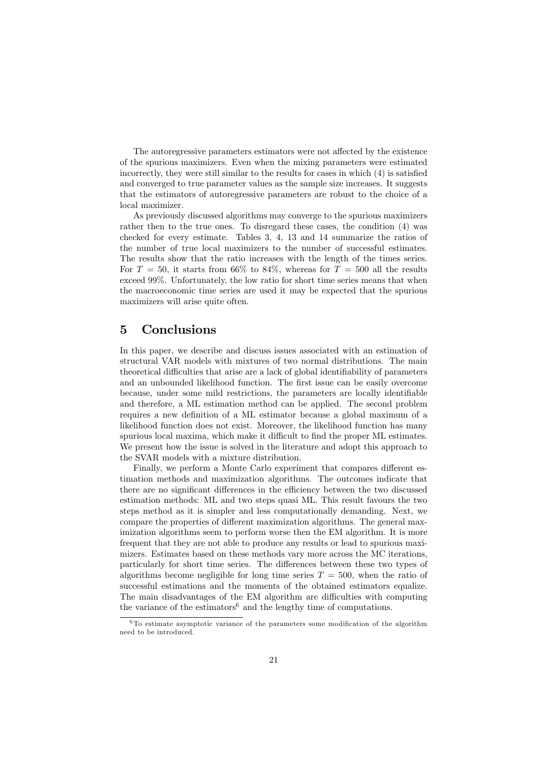The autoregressive parameters estimators were not affected by the existence of the spurious maximizers. Even when the mixing parameters were estimated incorrectly, they were still similar to the results for cases in which (4) is satisfied and converged to true parameter values as the sample size increases. It suggests that the estimators of autoregressive parameters are robust to the choice of a local maximizer.

As previously discussed algorithms may converge to the spurious maximizers rather then to the true ones. To disregard these cases, the condition (4) was checked for every estimate. Tables 3, 4, 13 and 14 summarize the ratios of the number of true local maximizers to the number of successful estimates. The results show that the ratio increases with the length of the times series. For  $T = 50$ , it starts from 66% to 84%, whereas for  $T = 500$  all the results exceed 99%. Unfortunately, the low ratio for short time series means that when the macroeconomic time series are used it may be expected that the spurious maximizers will arise quite often.

### 5 Conclusions

In this paper, we describe and discuss issues associated with an estimation of structural VAR models with mixtures of two normal distributions. The main theoretical difficulties that arise are a lack of global identifiability of parameters and an unbounded likelihood function. The first issue can be easily overcome because, under some mild restrictions, the parameters are locally identifiable and therefore, a ML estimation method can be applied. The second problem requires a new definition of a ML estimator because a global maximum of a likelihood function does not exist. Moreover, the likelihood function has many spurious local maxima, which make it difficult to find the proper ML estimates. We present how the issue is solved in the literature and adopt this approach to the SVAR models with a mixture distribution.

Finally, we perform a Monte Carlo experiment that compares different estimation methods and maximization algorithms. The outcomes indicate that there are no significant differences in the efficiency between the two discussed estimation methods: ML and two steps quasi ML. This result favours the two steps method as it is simpler and less computationally demanding. Next, we compare the properties of different maximization algorithms. The general maximization algorithms seem to perform worse then the EM algorithm. It is more frequent that they are not able to produce any results or lead to spurious maximizers. Estimates based on these methods vary more across the MC iterations, particularly for short time series. The differences between these two types of algorithms become negligible for long time series  $T = 500$ , when the ratio of successful estimations and the moments of the obtained estimators equalize. The main disadvantages of the EM algorithm are difficulties with computing the variance of the estimators<sup>6</sup> and the lengthy time of computations.

 $6$ To estimate asymptotic variance of the parameters some modification of the algorithm need to be introduced.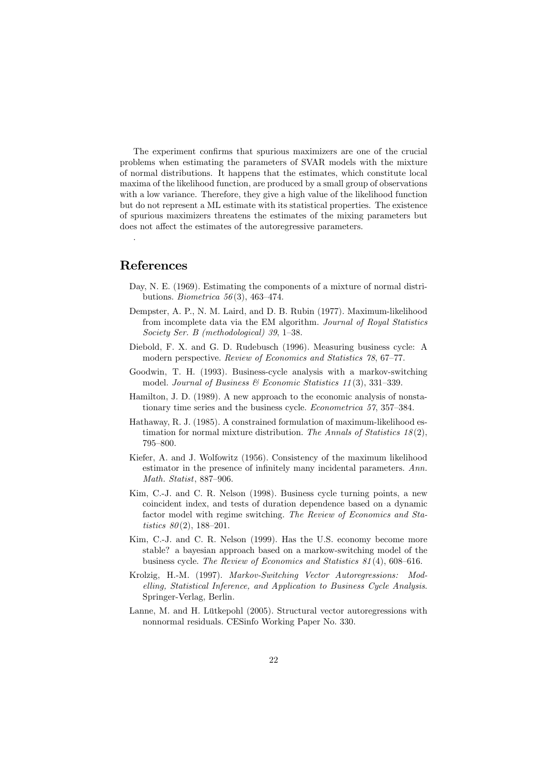The experiment confirms that spurious maximizers are one of the crucial problems when estimating the parameters of SVAR models with the mixture of normal distributions. It happens that the estimates, which constitute local maxima of the likelihood function, are produced by a small group of observations with a low variance. Therefore, they give a high value of the likelihood function but do not represent a ML estimate with its statistical properties. The existence of spurious maximizers threatens the estimates of the mixing parameters but does not affect the estimates of the autoregressive parameters.

#### References

.

- Day, N. E. (1969). Estimating the components of a mixture of normal distributions. Biometrica 56(3), 463-474.
- Dempster, A. P., N. M. Laird, and D. B. Rubin (1977). Maximum-likelihood from incomplete data via the EM algorithm. Journal of Royal Statistics Society Ser. B (methodological) 39, 1—38.
- Diebold, F. X. and G. D. Rudebusch (1996). Measuring business cycle: A modern perspective. Review of Economics and Statistics 78, 67—77.
- Goodwin, T. H. (1993). Business-cycle analysis with a markov-switching model. Journal of Business  $\mathcal B$  Economic Statistics 11(3), 331–339.
- Hamilton, J. D. (1989). A new approach to the economic analysis of nonstationary time series and the business cycle. Econometrica 57, 357—384.
- Hathaway, R. J. (1985). A constrained formulation of maximum-likelihood estimation for normal mixture distribution. The Annals of Statistics  $18(2)$ , 795—800.
- Kiefer, A. and J. Wolfowitz (1956). Consistency of the maximum likelihood estimator in the presence of infinitely many incidental parameters. Ann. Math. Statist, 887—906.
- Kim, C.-J. and C. R. Nelson (1998). Business cycle turning points, a new coincident index, and tests of duration dependence based on a dynamic factor model with regime switching. The Review of Economics and Statistics  $80(2)$ , 188-201.
- Kim, C.-J. and C. R. Nelson (1999). Has the U.S. economy become more stable? a bayesian approach based on a markow-switching model of the business cycle. The Review of Economics and Statistics 81 (4), 608—616.
- Krolzig, H.-M. (1997). Markov-Switching Vector Autoregressions: Modelling, Statistical Inference, and Application to Business Cycle Analysis. Springer-Verlag, Berlin.
- Lanne, M. and H. Lütkepohl (2005). Structural vector autoregressions with nonnormal residuals. CESinfo Working Paper No. 330.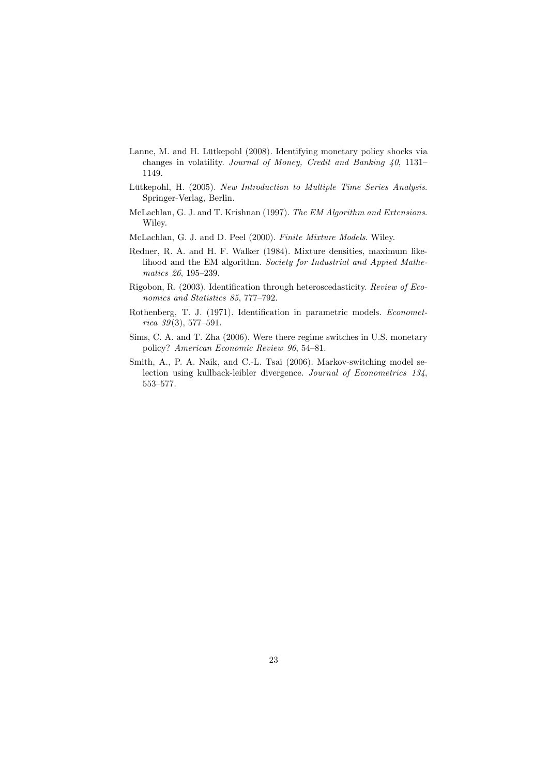- Lanne, M. and H. Lütkepohl (2008). Identifying monetary policy shocks via changes in volatility. Journal of Money, Credit and Banking 40, 1131— 1149.
- Lütkepohl, H. (2005). New Introduction to Multiple Time Series Analysis. Springer-Verlag, Berlin.
- McLachlan, G. J. and T. Krishnan (1997). The EM Algorithm and Extensions. Wiley.
- McLachlan, G. J. and D. Peel (2000). Finite Mixture Models. Wiley.
- Redner, R. A. and H. F. Walker (1984). Mixture densities, maximum likelihood and the EM algorithm. Society for Industrial and Appied Mathematics 26, 195—239.
- Rigobon, R. (2003). Identification through heteroscedasticity. Review of Economics and Statistics 85, 777—792.
- Rothenberg, T. J. (1971). Identification in parametric models. Econometrica  $39(3)$ , 577–591.
- Sims, C. A. and T. Zha (2006). Were there regime switches in U.S. monetary policy? American Economic Review 96, 54—81.
- Smith, A., P. A. Naik, and C.-L. Tsai (2006). Markov-switching model selection using kullback-leibler divergence. Journal of Econometrics 134, 553—577.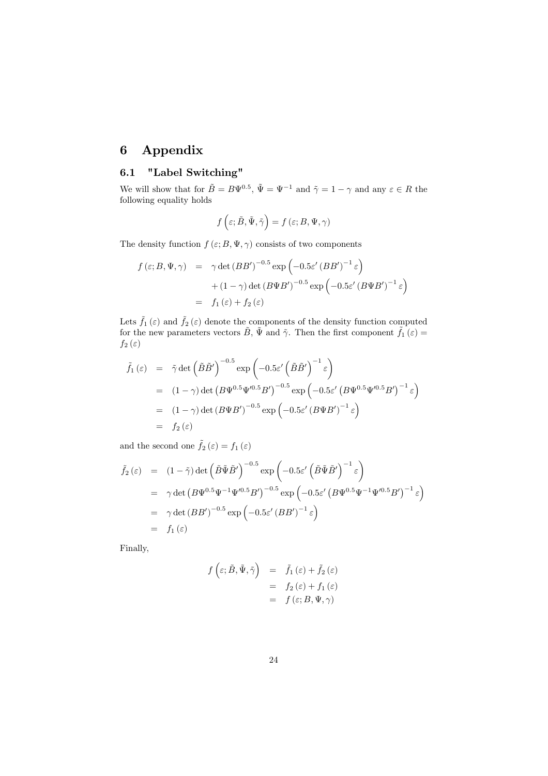# 6 Appendix

# 6.1 "Label Switching"

We will show that for  $\tilde{B} = B\Psi^{0.5}$ ,  $\tilde{\Psi} = \Psi^{-1}$  and  $\tilde{\gamma} = 1 - \gamma$  and any  $\varepsilon \in R$  the following equality holds

$$
f\left(\varepsilon; \tilde{B}, \tilde{\Psi}, \tilde{\gamma}\right) = f\left(\varepsilon; B, \Psi, \gamma\right)
$$

The density function  $f(\varepsilon; B, \Psi, \gamma)$  consists of two components

$$
f(\varepsilon; B, \Psi, \gamma) = \gamma \det (BB')^{-0.5} \exp \left(-0.5 \varepsilon' (BB')^{-1} \varepsilon\right)
$$

$$
+ (1 - \gamma) \det (B\Psi B')^{-0.5} \exp \left(-0.5 \varepsilon' (B\Psi B')^{-1} \varepsilon\right)
$$

$$
= f_1(\varepsilon) + f_2(\varepsilon)
$$

Lets  $\tilde{f}_1(\varepsilon)$  and  $\tilde{f}_2(\varepsilon)$  denote the components of the density function computed for the new parameters vectors  $\tilde{B}$ ,  $\tilde{\Psi}$  and  $\tilde{\gamma}$ . Then the first component  $\tilde{f}_1(\varepsilon)$  =  $f_2(\varepsilon)$ 

$$
\tilde{f}_1(\varepsilon) = \tilde{\gamma} \det \left( \tilde{B} \tilde{B}' \right)^{-0.5} \exp \left( -0.5 \varepsilon' \left( \tilde{B} \tilde{B}' \right)^{-1} \varepsilon \right)
$$
\n
$$
= (1 - \gamma) \det \left( B \Psi^{0.5} \Psi'^{0.5} B' \right)^{-0.5} \exp \left( -0.5 \varepsilon' \left( B \Psi^{0.5} \Psi'^{0.5} B' \right)^{-1} \varepsilon \right)
$$
\n
$$
= (1 - \gamma) \det \left( B \Psi B' \right)^{-0.5} \exp \left( -0.5 \varepsilon' \left( B \Psi B' \right)^{-1} \varepsilon \right)
$$
\n
$$
= f_2(\varepsilon)
$$

and the second one  $\tilde{f}_2(\varepsilon) = f_1(\varepsilon)$ 

$$
\tilde{f}_2(\varepsilon) = (1 - \tilde{\gamma}) \det \left( \tilde{B} \tilde{\Psi} \tilde{B}' \right)^{-0.5} \exp \left( -0.5 \varepsilon' \left( \tilde{B} \tilde{\Psi} \tilde{B}' \right)^{-1} \varepsilon \right)
$$
\n
$$
= \gamma \det \left( B \Psi^{0.5} \Psi^{-1} \Psi'^{0.5} B' \right)^{-0.5} \exp \left( -0.5 \varepsilon' \left( B \Psi^{0.5} \Psi^{-1} \Psi'^{0.5} B' \right)^{-1} \varepsilon \right)
$$
\n
$$
= \gamma \det \left( B B' \right)^{-0.5} \exp \left( -0.5 \varepsilon' \left( B B' \right)^{-1} \varepsilon \right)
$$
\n
$$
= f_1(\varepsilon)
$$

Finally,

$$
f\left(\varepsilon; \tilde{B}, \tilde{\Psi}, \tilde{\gamma}\right) = \tilde{f}_1\left(\varepsilon\right) + \tilde{f}_2\left(\varepsilon\right)
$$
  
=  $f_2\left(\varepsilon\right) + f_1\left(\varepsilon\right)$   
=  $f\left(\varepsilon; B, \Psi, \gamma\right)$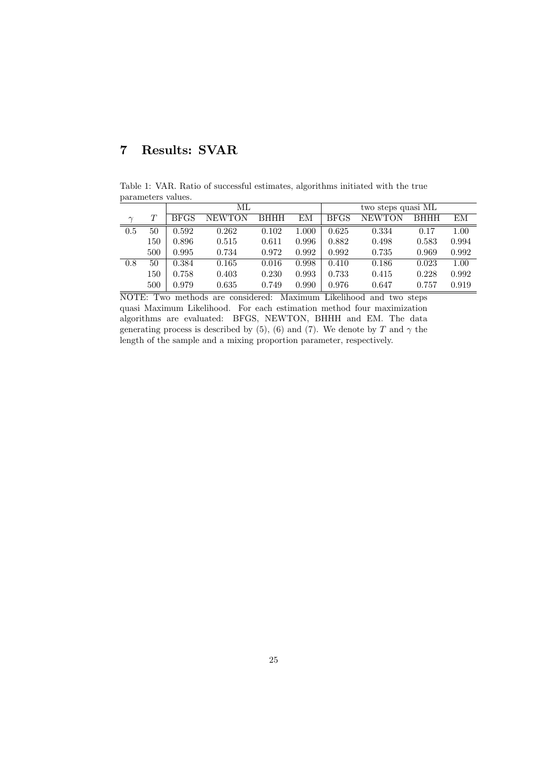# 7 Results: SVAR

Table 1: VAR. Ratio of successful estimates, algorithms initiated with the true parameters values.

|        |     |             | МL            |             |       | two steps quasi ML |        |             |       |
|--------|-----|-------------|---------------|-------------|-------|--------------------|--------|-------------|-------|
| $\sim$ | T   | <b>BFGS</b> | <b>NEWTON</b> | <b>BHHH</b> | ЕM    | <b>BFGS</b>        | NEWTON | <b>BHHH</b> | ΕM    |
| 0.5    | 50  | 0.592       | 0.262         | 0.102       | 1.000 | 0.625              | 0.334  | 0.17        | 1.00  |
|        | 150 | 0.896       | 0.515         | 0.611       | 0.996 | 0.882              | 0.498  | 0.583       | 0.994 |
|        | 500 | 0.995       | 0.734         | 0.972       | 0.992 | 0.992              | 0.735  | 0.969       | 0.992 |
| 0.8    | 50  | 0.384       | 0.165         | 0.016       | 0.998 | 0.410              | 0.186  | 0.023       | 1.00  |
|        | 150 | 0.758       | 0.403         | 0.230       | 0.993 | 0.733              | 0.415  | 0.228       | 0.992 |
|        | 500 | 0.979       | 0.635         | 0.749       | 0.990 | 0.976              | 0.647  | 0.757       | 0.919 |

NOTE: Two methods are considered: Maximum Likelihood and two steps quasi Maximum Likelihood. For each estimation method four maximization algorithms are evaluated: BFGS, NEWTON, BHHH and EM. The data generating process is described by (5), (6) and (7). We denote by T and  $\gamma$  the length of the sample and a mixing proportion parameter, respectively.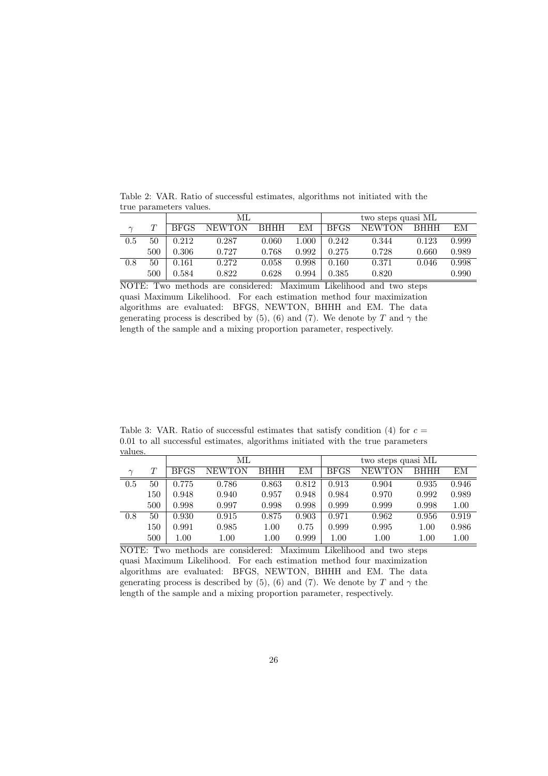Table 2: VAR. Ratio of successful estimates, algorithms not initiated with the true parameters values. ML two steps quasi ML

|                  |     |             | IVI L         |             |       | two steps quasi nil |               |             |       |  |
|------------------|-----|-------------|---------------|-------------|-------|---------------------|---------------|-------------|-------|--|
| $\sim$           |     | <b>BFGS</b> | <b>NEWTON</b> | <b>BHHH</b> | EМ    | <b>BFGS</b>         | <b>NEWTON</b> | <b>BHHH</b> | ЕM    |  |
| $\overline{0.5}$ | 50  | 0.212       | 0.287         | 0.060       | 1.000 | 0.242               | 0.344         | 0.123       | 0.999 |  |
|                  | 500 | 0.306       | 0.727         | 0.768       | 0.992 | 0.275               | 0.728         | 0.660       | 0.989 |  |
| 0.8              | 50  | 0.161       | 0.272         | 0.058       | 0.998 | 0.160               | 0.371         | 0.046       | 0.998 |  |
|                  | 500 | 0.584       | 0.822         | 0.628       | 0.994 | 0.385               | 0.820         |             | 0.990 |  |

NOTE: Two methods are considered: Maximum Likelihood and two steps quasi Maximum Likelihood. For each estimation method four maximization algorithms are evaluated: BFGS, NEWTON, BHHH and EM. The data generating process is described by (5), (6) and (7). We denote by T and  $\gamma$  the length of the sample and a mixing proportion parameter, respectively.

Table 3: VAR. Ratio of successful estimates that satisfy condition (4) for  $c =$ 0.01 to all successful estimates, algorithms initiated with the true parameters values.

|        |     |             | МL            |             |       | two steps quasi ML |               |             |       |
|--------|-----|-------------|---------------|-------------|-------|--------------------|---------------|-------------|-------|
| $\sim$ | T   | <b>BFGS</b> | <b>NEWTON</b> | <b>BHHH</b> | EМ    | BFGS               | <b>NEWTON</b> | <b>BHHH</b> | EМ    |
| 0.5    | 50  | 0.775       | 0.786         | 0.863       | 0.812 | 0.913              | 0.904         | 0.935       | 0.946 |
|        | 150 | 0.948       | 0.940         | 0.957       | 0.948 | 0.984              | 0.970         | 0.992       | 0.989 |
|        | 500 | 0.998       | 0.997         | 0.998       | 0.998 | 0.999              | 0.999         | 0.998       | 1.00  |
| 0.8    | 50  | 0.930       | 0.915         | 0.875       | 0.903 | 0.971              | 0.962         | 0.956       | 0.919 |
|        | 150 | 0.991       | 0.985         | 1.00        | 0.75  | 0.999              | 0.995         | 1.00        | 0.986 |
|        | 500 | 1.00        | 1.00          | $1.00\,$    | 0.999 | 1.00               | $1.00\,$      | 1.00        | 1.00  |

NOTE: Two methods are considered: Maximum Likelihood and two steps quasi Maximum Likelihood. For each estimation method four maximization algorithms are evaluated: BFGS, NEWTON, BHHH and EM. The data generating process is described by (5), (6) and (7). We denote by T and  $\gamma$  the length of the sample and a mixing proportion parameter, respectively.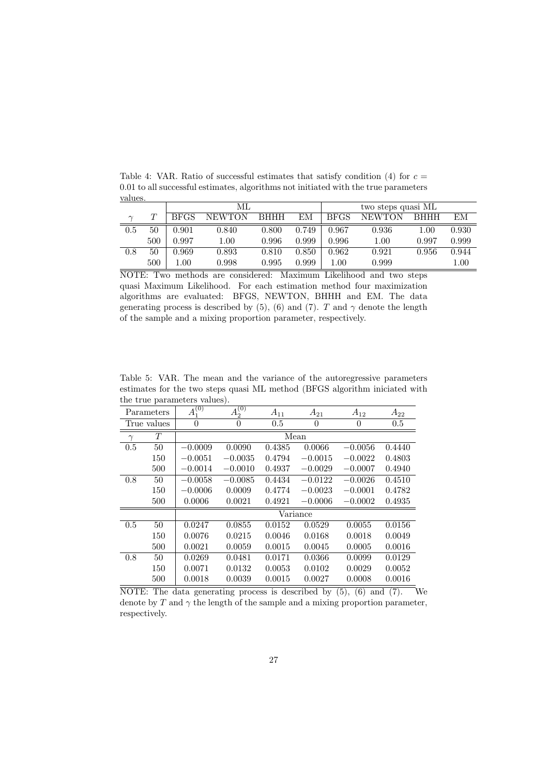| values. |        |             |               |             |       |                    |               |             |       |  |
|---------|--------|-------------|---------------|-------------|-------|--------------------|---------------|-------------|-------|--|
|         |        |             | МL            |             |       | two steps quasi ML |               |             |       |  |
| $\sim$  | $\tau$ | <b>BFGS</b> | <b>NEWTON</b> | <b>BHHH</b> | EМ    | <b>BFGS</b>        | <b>NEWTON</b> | <b>BHHH</b> | EМ    |  |
| 0.5     | 50     | 0.901       | 0.840         | 0.800       | 0.749 | 0.967              | 0.936         | $1.00\,$    | 0.930 |  |
|         | 500    | 0.997       | 1.00          | 0.996       | 0.999 | 0.996              | $1.00\,$      | 0.997       | 0.999 |  |
| 0.8     | 50     | 0.969       | 0.893         | 0.810       | 0.850 | 0.962              | 0.921         | 0.956       | 0.944 |  |
|         | 500    | 1.00        | 0.998         | 0.995       | 0.999 | $1.00\,$           | 0.999         |             | 1.00  |  |

Table 4: VAR. Ratio of successful estimates that satisfy condition (4) for  $c =$ 0.01 to all successful estimates, algorithms not initiated with the true parameters

NOTE: Two methods are considered: Maximum Likelihood and two steps quasi Maximum Likelihood. For each estimation method four maximization algorithms are evaluated: BFGS, NEWTON, BHHH and EM. The data generating process is described by (5), (6) and (7). T and  $\gamma$  denote the length of the sample and a mixing proportion parameter, respectively.

Table 5: VAR. The mean and the variance of the autoregressive parameters estimates for the two steps quasi ML method (BFGS algorithm iniciated with the true parameters values).

|          | Parameters  | (0)<br>$A_1^{\prime}$ | (0)<br>$A_2^0$ | $A_{11}$ | $A_{21}$  | $A_{12}$       | $A_{22}$ |
|----------|-------------|-----------------------|----------------|----------|-----------|----------------|----------|
|          | True values | $\theta$              | $\overline{0}$ | 0.5      | 0         | $\overline{0}$ | 0.5      |
| $\gamma$ | T           |                       |                | Mean     |           |                |          |
| 0.5      | 50          | $-0.0009$             | 0.0090         | 0.4385   | 0.0066    | $-0.0056$      | 0.4440   |
|          | 150         | $-0.0051$             | $-0.0035$      | 0.4794   | $-0.0015$ | $-0.0022$      | 0.4803   |
|          | 500         | $-0.0014$             | $-0.0010$      | 0.4937   | $-0.0029$ | $-0.0007$      | 0.4940   |
| 0.8      | 50          | $-0.0058$             | $-0.0085$      | 0.4434   | $-0.0122$ | $-0.0026$      | 0.4510   |
|          | 150         | $-0.0006$             | 0.0009         | 0.4774   | $-0.0023$ | $-0.0001$      | 0.4782   |
|          | 500         | 0.0006                | 0.0021         | 0.4921   | $-0.0006$ | $-0.0002$      | 0.4935   |
|          |             |                       |                |          | Variance  |                |          |
| 0.5      | 50          | 0.0247                | 0.0855         | 0.0152   | 0.0529    | 0.0055         | 0.0156   |
|          | 150         | 0.0076                | 0.0215         | 0.0046   | 0.0168    | 0.0018         | 0.0049   |
|          | 500         | 0.0021                | 0.0059         | 0.0015   | 0.0045    | 0.0005         | 0.0016   |
| 0.8      | 50          | 0.0269                | 0.0481         | 0.0171   | 0.0366    | 0.0099         | 0.0129   |
|          | 150         | 0.0071                | 0.0132         | 0.0053   | 0.0102    | 0.0029         | 0.0052   |
|          | 500         | 0.0018                | 0.0039         | 0.0015   | 0.0027    | 0.0008         | 0.0016   |

NOTE: The data generating process is described by  $(5)$ ,  $(6)$  and  $(7)$ . We denote by T and  $\gamma$  the length of the sample and a mixing proportion parameter, respectively.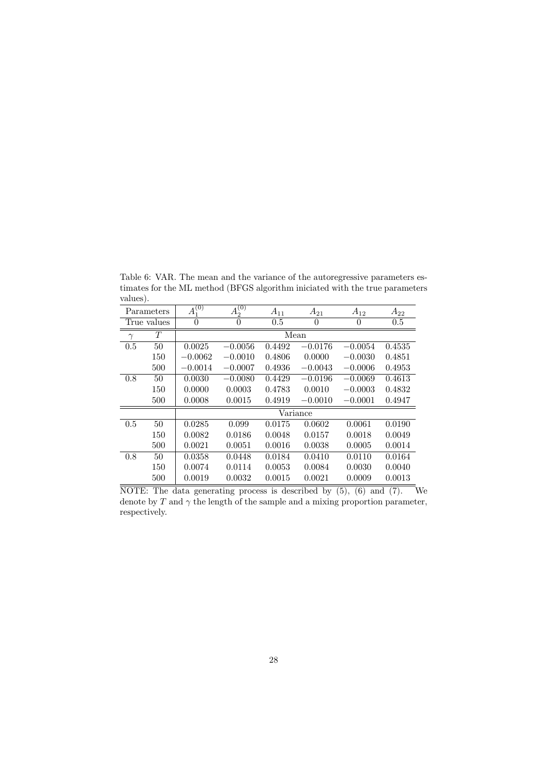Table 6: VAR. The mean and the variance of the autoregressive parameters estimates for the ML method (BFGS algorithm iniciated with the true parameters values).

|          | Parameters  | (0)<br>$A_1^{(0)}$ | $\left( 0\right)$<br>$A_2^{\vee}$ | $A_{11}$ | $A_{21}$  | $A_{12}$  | $A_{22}$ |
|----------|-------------|--------------------|-----------------------------------|----------|-----------|-----------|----------|
|          | True values | $\theta$           | $\overline{0}$                    | 0.5      | 0         | 0         | 0.5      |
| $\gamma$ | T           |                    |                                   |          | Mean      |           |          |
| 0.5      | 50          | 0.0025             | $-0.0056$                         | 0.4492   | $-0.0176$ | $-0.0054$ | 0.4535   |
|          | 150         | $-0.0062$          | $-0.0010$                         | 0.4806   | 0.0000    | $-0.0030$ | 0.4851   |
|          | 500         | $-0.0014$          | $-0.0007$                         | 0.4936   | $-0.0043$ | $-0.0006$ | 0.4953   |
| 0.8      | 50          | 0.0030             | $-0.0080$                         | 0.4429   | $-0.0196$ | $-0.0069$ | 0.4613   |
|          | 150         | 0.0000             | 0.0003                            | 0.4783   | 0.0010    | $-0.0003$ | 0.4832   |
|          | 500         | 0.0008             | 0.0015                            | 0.4919   | $-0.0010$ | $-0.0001$ | 0.4947   |
|          |             |                    |                                   |          | Variance  |           |          |
| 0.5      | 50          | 0.0285             | 0.099                             | 0.0175   | 0.0602    | 0.0061    | 0.0190   |
|          | 150         | 0.0082             | 0.0186                            | 0.0048   | 0.0157    | 0.0018    | 0.0049   |
|          | 500         | 0.0021             | 0.0051                            | 0.0016   | 0.0038    | 0.0005    | 0.0014   |
| 0.8      | 50          | 0.0358             | 0.0448                            | 0.0184   | 0.0410    | 0.0110    | 0.0164   |
|          | 150         | 0.0074             | 0.0114                            | 0.0053   | 0.0084    | 0.0030    | 0.0040   |
|          | 500         | 0.0019             | 0.0032                            | 0.0015   | 0.0021    | 0.0009    | 0.0013   |

NOTE: The data generating process is described by (5), (6) and (7). We denote by T and  $\gamma$  the length of the sample and a mixing proportion parameter, respectively.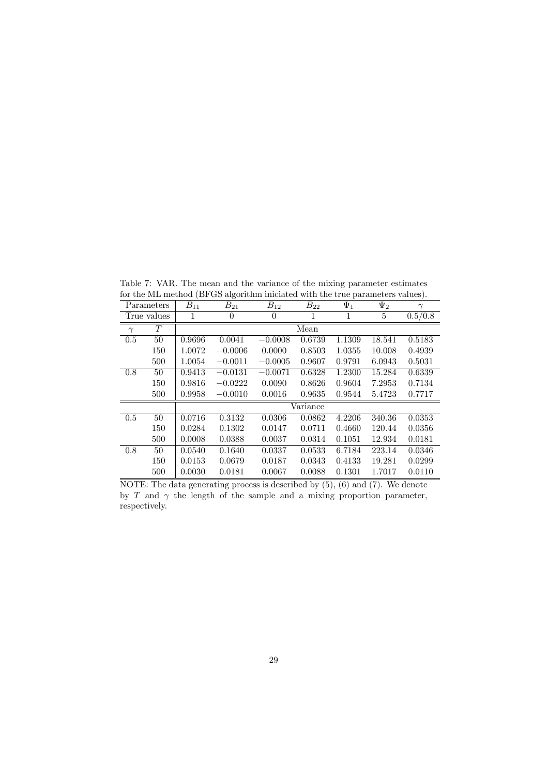Table 7: VAR. The mean and the variance of the mixing parameter estimates for the ML method (BFGS algorithm iniciated with the true parameters values).

|          | Parameters  | $B_{11}$ | $B_{21}$  | $B_{12}$  | $B_{22}$ | $\overline{\Psi_1}$ | $\Psi_2$ | $\gamma$ |
|----------|-------------|----------|-----------|-----------|----------|---------------------|----------|----------|
|          | True values |          | 0         | $\theta$  | 1        | 1                   | 5        | 0.5/0.8  |
| $\gamma$ | T           |          |           |           | Mean     |                     |          |          |
| 0.5      | 50          | 0.9696   | 0.0041    | $-0.0008$ | 0.6739   | 1.1309              | 18.541   | 0.5183   |
|          | 150         | 1.0072   | $-0.0006$ | 0.0000    | 0.8503   | 1.0355              | 10.008   | 0.4939   |
|          | 500         | 1.0054   | $-0.0011$ | $-0.0005$ | 0.9607   | 0.9791              | 6.0943   | 0.5031   |
| 0.8      | 50          | 0.9413   | $-0.0131$ | $-0.0071$ | 0.6328   | 1.2300              | 15.284   | 0.6339   |
|          | 150         | 0.9816   | $-0.0222$ | 0.0090    | 0.8626   | 0.9604              | 7.2953   | 0.7134   |
|          | 500         | 0.9958   | $-0.0010$ | 0.0016    | 0.9635   | 0.9544              | 5.4723   | 0.7717   |
|          |             |          |           |           | Variance |                     |          |          |
| 0.5      | 50          | 0.0716   | 0.3132    | 0.0306    | 0.0862   | 4.2206              | 340.36   | 0.0353   |
|          | 150         | 0.0284   | 0.1302    | 0.0147    | 0.0711   | 0.4660              | 120.44   | 0.0356   |
|          | 500         | 0.0008   | 0.0388    | 0.0037    | 0.0314   | 0.1051              | 12.934   | 0.0181   |
| 0.8      | 50          | 0.0540   | 0.1640    | 0.0337    | 0.0533   | 6.7184              | 223.14   | 0.0346   |
|          | 150         | 0.0153   | 0.0679    | 0.0187    | 0.0343   | 0.4133              | 19.281   | 0.0299   |
|          | 500         | 0.0030   | 0.0181    | 0.0067    | 0.0088   | 0.1301              | 1.7017   | 0.0110   |

NOTE: The data generating process is described by (5), (6) and (7). We denote by T and  $\gamma$  the length of the sample and a mixing proportion parameter, respectively.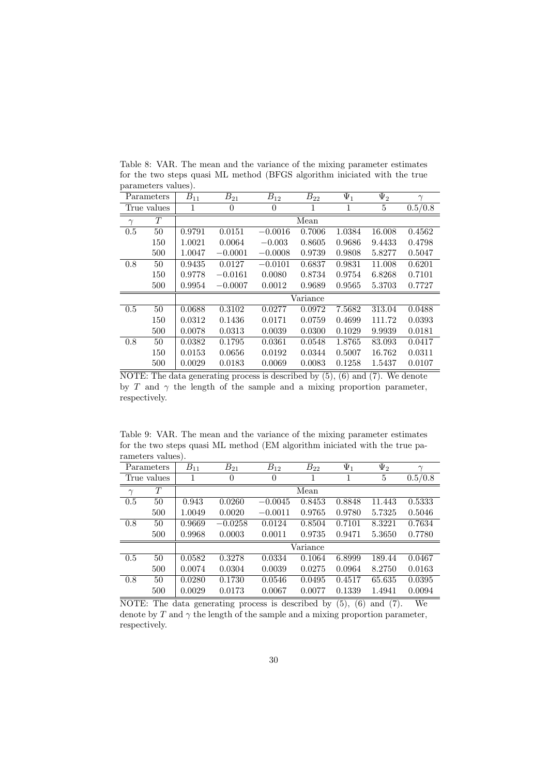|          | Parameters  | $B_{11}$ | $B_{21}$       | $B_{12}$  | $B_{22}$ | $\Psi_1$ | $\Psi_2$ | $\gamma$ |
|----------|-------------|----------|----------------|-----------|----------|----------|----------|----------|
|          | True values | 1        | $\overline{0}$ | $\theta$  | 1        | 1        | 5        | 0.5/0.8  |
| $\gamma$ | T           |          |                |           | Mean     |          |          |          |
| 0.5      | 50          | 0.9791   | 0.0151         | $-0.0016$ | 0.7006   | 1.0384   | 16.008   | 0.4562   |
|          | 150         | 1.0021   | 0.0064         | $-0.003$  | 0.8605   | 0.9686   | 9.4433   | 0.4798   |
|          | 500         | 1.0047   | $-0.0001$      | $-0.0008$ | 0.9739   | 0.9808   | 5.8277   | 0.5047   |
| 0.8      | 50          | 0.9435   | 0.0127         | $-0.0101$ | 0.6837   | 0.9831   | 11.008   | 0.6201   |
|          | 150         | 0.9778   | $-0.0161$      | 0.0080    | 0.8734   | 0.9754   | 6.8268   | 0.7101   |
|          | 500         | 0.9954   | $-0.0007$      | 0.0012    | 0.9689   | 0.9565   | 5.3703   | 0.7727   |
|          |             |          |                |           | Variance |          |          |          |
| 0.5      | 50          | 0.0688   | 0.3102         | 0.0277    | 0.0972   | 7.5682   | 313.04   | 0.0488   |
|          | 150         | 0.0312   | 0.1436         | 0.0171    | 0.0759   | 0.4699   | 111.72   | 0.0393   |
|          | 500         | 0.0078   | 0.0313         | 0.0039    | 0.0300   | 0.1029   | 9.9939   | 0.0181   |
| 0.8      | 50          | 0.0382   | 0.1795         | 0.0361    | 0.0548   | 1.8765   | 83.093   | 0.0417   |
|          | 150         | 0.0153   | 0.0656         | 0.0192    | 0.0344   | 0.5007   | 16.762   | 0.0311   |
|          | 500         | 0.0029   | 0.0183         | 0.0069    | 0.0083   | 0.1258   | 1.5437   | 0.0107   |

Table 8: VAR. The mean and the variance of the mixing parameter estimates for the two steps quasi ML method (BFGS algorithm iniciated with the true parameters values).

NOTE: The data generating process is described by  $(5)$ ,  $(6)$  and  $(7)$ . We denote by T and  $\gamma$  the length of the sample and a mixing proportion parameter, respectively.

Table 9: VAR. The mean and the variance of the mixing parameter estimates for the two steps quasi ML method (EM algorithm iniciated with the true parameters values).

|          | Parameters  | $B_{11}$ | $B_{21}$  | $B_{12}$  | $B_{22}$ | $\Psi_1$ | $\Psi_2$ | $\gamma$ |  |
|----------|-------------|----------|-----------|-----------|----------|----------|----------|----------|--|
|          | True values |          | $\theta$  | $\theta$  | 1        | 1        | 5        | 0.5/0.8  |  |
| $\gamma$ | T           |          | Mean      |           |          |          |          |          |  |
| 0.5      | 50          | 0.943    | 0.0260    | $-0.0045$ | 0.8453   | 0.8848   | 11.443   | 0.5333   |  |
|          | 500         | 1.0049   | 0.0020    | $-0.0011$ | 0.9765   | 0.9780   | 5.7325   | 0.5046   |  |
| 0.8      | 50          | 0.9669   | $-0.0258$ | 0.0124    | 0.8504   | 0.7101   | 8.3221   | 0.7634   |  |
|          | 500         | 0.9968   | 0.0003    | 0.0011    | 0.9735   | 0.9471   | 5.3650   | 0.7780   |  |
|          |             |          |           |           | Variance |          |          |          |  |
| 0.5      | 50          | 0.0582   | 0.3278    | 0.0334    | 0.1064   | 6.8999   | 189.44   | 0.0467   |  |
|          | 500         | 0.0074   | 0.0304    | 0.0039    | 0.0275   | 0.0964   | 8.2750   | 0.0163   |  |
| 0.8      | 50          | 0.0280   | 0.1730    | 0.0546    | 0.0495   | 0.4517   | 65.635   | 0.0395   |  |
|          | 500         | 0.0029   | 0.0173    | 0.0067    | 0.0077   | 0.1339   | 1.4941   | 0.0094   |  |

NOTE: The data generating process is described by  $(5)$ ,  $(6)$  and  $(7)$ . We denote by T and  $\gamma$  the length of the sample and a mixing proportion parameter, respectively.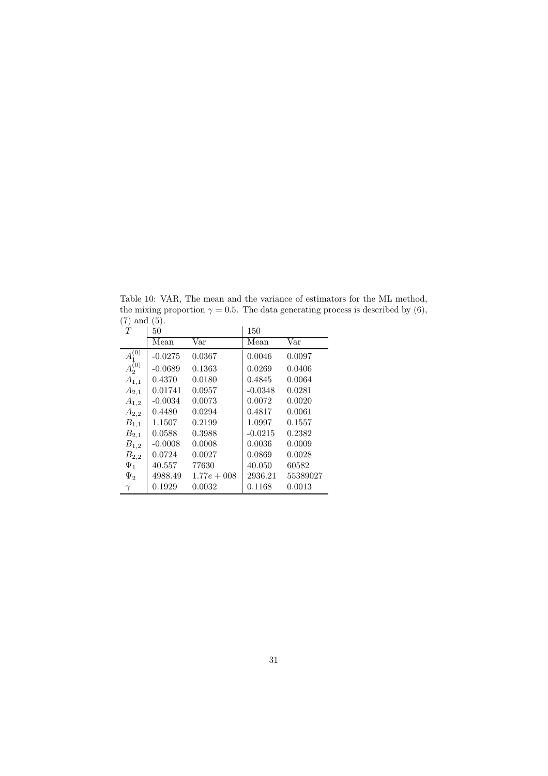Table 10: VAR, The mean and the variance of estimators for the ML method, the mixing proportion  $\gamma = 0.5$ . The data generating process is described by (6), (7) and (5).

| T                   | 50        |                | 150       |                         |
|---------------------|-----------|----------------|-----------|-------------------------|
|                     | Mean      | Var            | Mean      | $\overline{\text{Var}}$ |
| $\bar{A_1^{(0)}}$   | $-0.0275$ | 0.0367         | 0.0046    | 0.0097                  |
| $\tilde{A_2^{(0)}}$ | $-0.0689$ | 0.1363         | 0.0269    | 0.0406                  |
| $A_{1,1}$           | 0.4370    | 0.0180         | 0.4845    | 0.0064                  |
| $A_{2,1}$           | 0.01741   | 0.0957         | $-0.0348$ | 0.0281                  |
| $A_{1,2}$           | $-0.0034$ | 0.0073         | 0.0072    | 0.0020                  |
| $A_{2,2}$           | 0.4480    | 0.0294         | 0.4817    | 0.0061                  |
| $B_{1,1}$           | 1.1507    | 0.2199         | 1.0997    | 0.1557                  |
| $B_{2,1}$           | 0.0588    | 0.3988         | $-0.0215$ | 0.2382                  |
| $B_{1,2}$           | $-0.0008$ | 0.0008         | 0.0036    | 0.0009                  |
| $B_{2,2}$           | 0.0724    | 0.0027         | 0.0869    | 0.0028                  |
| $\Psi_1$            | 40.557    | 77630          | 40.050    | 60582                   |
| $\Psi_2$            | 4988.49   | $1.77e + 0.08$ | 2936.21   | 55389027                |
| $\gamma$            | 0.1929    | 0.0032         | 0.1168    | 0.0013                  |
|                     |           |                |           |                         |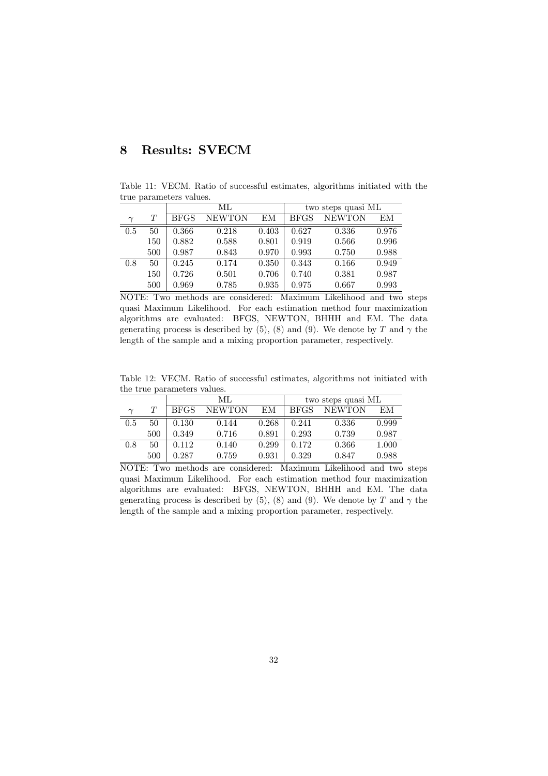# 8 Results: SVECM

Table 11: VECM. Ratio of successful estimates, algorithms initiated with the true parameters values.

|        |     |             | МL            |       | two steps quasi ML |               |       |  |
|--------|-----|-------------|---------------|-------|--------------------|---------------|-------|--|
| $\sim$ | T   | <b>BFGS</b> | <b>NEWTON</b> | ΕM    | <b>BFGS</b>        | <b>NEWTON</b> | EМ    |  |
| 0.5    | 50  | 0.366       | 0.218         | 0.403 | 0.627              | 0.336         | 0.976 |  |
|        | 150 | 0.882       | 0.588         | 0.801 | 0.919              | 0.566         | 0.996 |  |
|        | 500 | 0.987       | 0.843         | 0.970 | 0.993              | 0.750         | 0.988 |  |
| 0.8    | 50  | 0.245       | 0.174         | 0.350 | 0.343              | 0.166         | 0.949 |  |
|        | 150 | 0.726       | 0.501         | 0.706 | 0.740              | 0.381         | 0.987 |  |
|        | 500 | 0.969       | 0.785         | 0.935 | 0.975              | 0.667         | 0.993 |  |

NOTE: Two methods are considered: Maximum Likelihood and two steps quasi Maximum Likelihood. For each estimation method four maximization algorithms are evaluated: BFGS, NEWTON, BHHH and EM. The data generating process is described by (5), (8) and (9). We denote by T and  $\gamma$  the length of the sample and a mixing proportion parameter, respectively.

Table 12: VECM. Ratio of successful estimates, algorithms not initiated with the true parameters values.

|        |     |             | МL            |       | two steps quasi ML |               |       |  |
|--------|-----|-------------|---------------|-------|--------------------|---------------|-------|--|
| $\sim$ |     | <b>BFGS</b> | <b>NEWTON</b> | EМ    | <b>BFGS</b>        | <b>NEWTON</b> | EМ    |  |
| 0.5    | 50  | 0.130       | 0.144         | 0.268 | 0.241              | 0.336         | 0.999 |  |
|        | 500 | 0.349       | 0.716         | 0.891 | 0.293              | 0.739         | 0.987 |  |
| 0.8    | 50  | 0.112       | 0.140         | 0.299 | 0.172              | 0.366         | 1.000 |  |
|        | 500 | 0.287       | 0.759         | 0.931 | 0.329              | 0.847         | 0.988 |  |

NOTE: Two methods are considered: Maximum Likelihood and two steps quasi Maximum Likelihood. For each estimation method four maximization algorithms are evaluated: BFGS, NEWTON, BHHH and EM. The data generating process is described by (5), (8) and (9). We denote by T and  $\gamma$  the length of the sample and a mixing proportion parameter, respectively.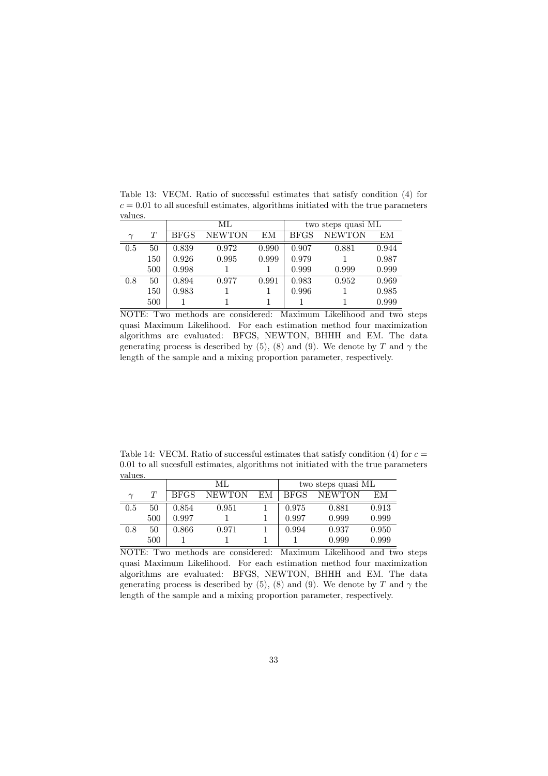|        |     |             | ML            |       | two steps quasi ML |               |       |  |
|--------|-----|-------------|---------------|-------|--------------------|---------------|-------|--|
| $\sim$ | T   | <b>BFGS</b> | <b>NEWTON</b> | EМ    | <b>BFGS</b>        | <b>NEWTON</b> | EМ    |  |
| 0.5    | 50  | 0.839       | 0.972         | 0.990 | 0.907              | 0.881         | 0.944 |  |
|        | 150 | 0.926       | 0.995         | 0.999 | 0.979              |               | 0.987 |  |
|        | 500 | 0.998       |               |       | 0.999              | 0.999         | 0.999 |  |
| 0.8    | 50  | 0.894       | 0.977         | 0.991 | 0.983              | 0.952         | 0.969 |  |
|        | 150 | 0.983       |               |       | 0.996              |               | 0.985 |  |
|        | 500 |             |               |       |                    |               | 0.999 |  |

Table 13: VECM. Ratio of successful estimates that satisfy condition (4) for  $c = 0.01$  to all sucesfull estimates, algorithms initiated with the true parameters values.

NOTE: Two methods are considered: Maximum Likelihood and two steps quasi Maximum Likelihood. For each estimation method four maximization algorithms are evaluated: BFGS, NEWTON, BHHH and EM. The data generating process is described by (5), (8) and (9). We denote by T and  $\gamma$  the length of the sample and a mixing proportion parameter, respectively.

Table 14: VECM. Ratio of successful estimates that satisfy condition (4) for  $c =$ 0.01 to all sucesfull estimates, algorithms not initiated with the true parameters values.

|        |     |             | МL            |    | two steps quasi ML |               |       |  |
|--------|-----|-------------|---------------|----|--------------------|---------------|-------|--|
| $\sim$ |     | <b>BFGS</b> | <b>NEWTON</b> | EМ | <b>BFGS</b>        | <b>NEWTON</b> | EМ    |  |
| 0.5    | 50  | 0.854       | 0.951         |    | 0.975              | 0.881         | 0.913 |  |
|        | 500 | 0.997       |               |    | 0.997              | 0.999         | 0.999 |  |
| 0.8    | 50  | 0.866       | 0.971         |    | 0.994              | 0.937         | 0.950 |  |
|        | 500 |             |               |    |                    | 0.999         | 0.999 |  |

NOTE: Two methods are considered: Maximum Likelihood and two steps quasi Maximum Likelihood. For each estimation method four maximization algorithms are evaluated: BFGS, NEWTON, BHHH and EM. The data generating process is described by (5), (8) and (9). We denote by T and  $\gamma$  the length of the sample and a mixing proportion parameter, respectively.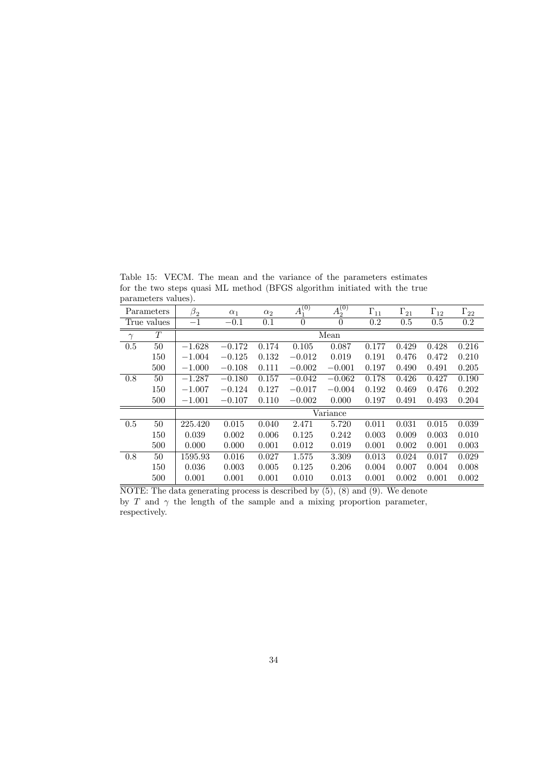|          | Parameters  | $\beta_2$ | $\alpha_1$ | $\alpha_2$ | $\overline{A_1^{(0)}}$ | $\overline{A_2^{(0)}}$ | $\Gamma_{11}$ | $\Gamma_{21}$ | $\Gamma_{12}$ | $\Gamma_{22}$ |  |
|----------|-------------|-----------|------------|------------|------------------------|------------------------|---------------|---------------|---------------|---------------|--|
|          | True values | $-1$      | $-0.1$     | 0.1        | $\theta$               | $\theta$               | 0.2           | 0.5           | 0.5           | $0.2\,$       |  |
| $\gamma$ | T           |           | Mean       |            |                        |                        |               |               |               |               |  |
| 0.5      | 50          | $-1.628$  | $-0.172$   | 0.174      | 0.105                  | 0.087                  | 0.177         | 0.429         | 0.428         | 0.216         |  |
|          | 150         | $-1.004$  | $-0.125$   | 0.132      | $-0.012$               | 0.019                  | 0.191         | 0.476         | 0.472         | 0.210         |  |
|          | 500         | $-1.000$  | $-0.108$   | 0.111      | $-0.002$               | $-0.001$               | 0.197         | 0.490         | 0.491         | 0.205         |  |
| 0.8      | 50          | $-1.287$  | $-0.180$   | 0.157      | $-0.042$               | $-0.062$               | 0.178         | 0.426         | 0.427         | 0.190         |  |
|          | 150         | $-1.007$  | $-0.124$   | 0.127      | $-0.017$               | $-0.004$               | 0.192         | 0.469         | 0.476         | 0.202         |  |
|          | 500         | $-1.001$  | $-0.107$   | 0.110      | $-0.002$               | 0.000                  | 0.197         | 0.491         | 0.493         | 0.204         |  |
|          |             |           |            |            |                        | Variance               |               |               |               |               |  |
| 0.5      | 50          | 225.420   | 0.015      | 0.040      | 2.471                  | 5.720                  | 0.011         | 0.031         | 0.015         | 0.039         |  |
|          | 150         | 0.039     | 0.002      | 0.006      | 0.125                  | 0.242                  | 0.003         | 0.009         | 0.003         | 0.010         |  |
|          | 500         | 0.000     | 0.000      | 0.001      | 0.012                  | 0.019                  | 0.001         | 0.002         | 0.001         | 0.003         |  |
| 0.8      | 50          | 1595.93   | 0.016      | 0.027      | 1.575                  | 3.309                  | 0.013         | 0.024         | 0.017         | 0.029         |  |
|          | 150         | 0.036     | 0.003      | 0.005      | 0.125                  | 0.206                  | 0.004         | 0.007         | 0.004         | 0.008         |  |
|          | 500         | 0.001     | 0.001      | 0.001      | 0.010                  | 0.013                  | 0.001         | 0.002         | 0.001         | 0.002         |  |

Table 15: VECM. The mean and the variance of the parameters estimates for the two steps quasi ML method (BFGS algorithm initiated with the true parameters values).

NOTE: The data generating process is described by  $(5)$ ,  $(8)$  and  $(9)$ . We denote by T and  $\gamma$  the length of the sample and a mixing proportion parameter, respectively.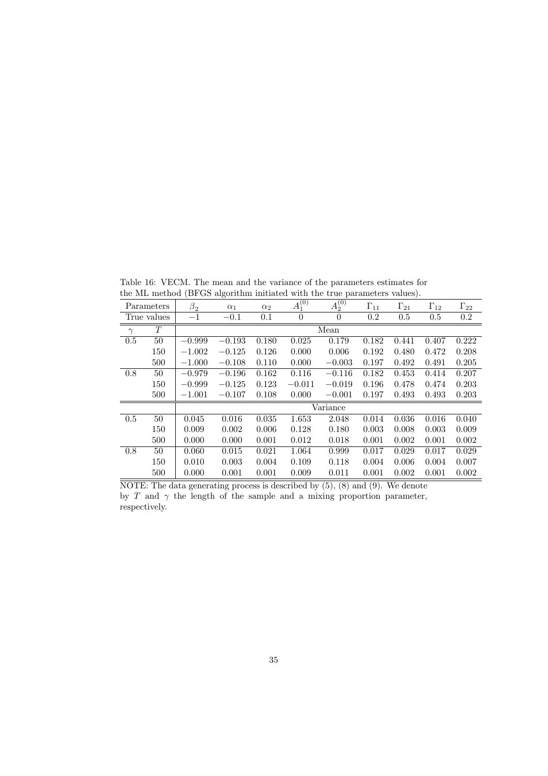Table 16: VECM. The mean and the variance of the parameters estimates for the ML method (BFGS algorithm initiated with the true parameters values).

| $\sim$<br><b>PWA WAAAO</b> VULD<br>$\cdots$ |             |             |            |            |             |                               |               |               |               |               |  |  |
|---------------------------------------------|-------------|-------------|------------|------------|-------------|-------------------------------|---------------|---------------|---------------|---------------|--|--|
|                                             | Parameters  | $\beta_2^-$ | $\alpha_1$ | $\alpha_2$ | $A_1^{(0)}$ | $\overline{A_2^{(0)}}$        | $\Gamma_{11}$ | $\Gamma_{21}$ | $\Gamma_{12}$ | $\Gamma_{22}$ |  |  |
|                                             | True values | $-1$        | $-0.1$     | 0.1        | $\theta$    | $\theta$                      | 0.2           | 0.5           | 0.5           | $0.2\,$       |  |  |
| $\gamma$                                    | T           |             | Mean       |            |             |                               |               |               |               |               |  |  |
| 0.5                                         | 50          | $-0.999$    | $-0.193$   | 0.180      | 0.025       | 0.179                         | 0.182         | 0.441         | 0.407         | 0.222         |  |  |
|                                             | 150         | $-1.002$    | $-0.125$   | 0.126      | 0.000       | 0.006                         | 0.192         | 0.480         | 0.472         | 0.208         |  |  |
|                                             | 500         | $-1.000$    | $-0.108$   | 0.110      | 0.000       | $-0.003$                      | 0.197         | 0.492         | 0.491         | 0.205         |  |  |
| 0.8                                         | 50          | $-0.979$    | $-0.196$   | 0.162      | 0.116       | $-0.116$                      | 0.182         | 0.453         | 0.414         | 0.207         |  |  |
|                                             | 150         | $-0.999$    | $-0.125$   | 0.123      | $-0.011$    | $-0.019$                      | 0.196         | 0.478         | 0.474         | 0.203         |  |  |
|                                             | 500         | $-1.001$    | $-0.107$   | 0.108      | 0.000       | $-0.001$                      | 0.197         | 0.493         | 0.493         | 0.203         |  |  |
|                                             |             |             |            |            |             | $\overline{\text{V}}$ ariance |               |               |               |               |  |  |
| 0.5                                         | 50          | 0.045       | 0.016      | 0.035      | 1.653       | 2.048                         | 0.014         | 0.036         | 0.016         | 0.040         |  |  |
|                                             | 150         | 0.009       | 0.002      | 0.006      | 0.128       | 0.180                         | 0.003         | 0.008         | 0.003         | 0.009         |  |  |
|                                             | 500         | 0.000       | 0.000      | 0.001      | 0.012       | 0.018                         | 0.001         | 0.002         | 0.001         | 0.002         |  |  |
| 0.8                                         | 50          | 0.060       | 0.015      | 0.021      | 1.064       | 0.999                         | 0.017         | 0.029         | 0.017         | 0.029         |  |  |
|                                             | 150         | 0.010       | 0.003      | 0.004      | 0.109       | 0.118                         | 0.004         | 0.006         | 0.004         | 0.007         |  |  |
|                                             | 500         | 0.000       | 0.001      | 0.001      | 0.009       | 0.011                         | 0.001         | 0.002         | 0.001         | 0.002         |  |  |

 $\overline{\text{NOTE: The data generating process is described by (5), (8) and (9). We denote}$ by T and  $\gamma$  the length of the sample and a mixing proportion parameter, respectively.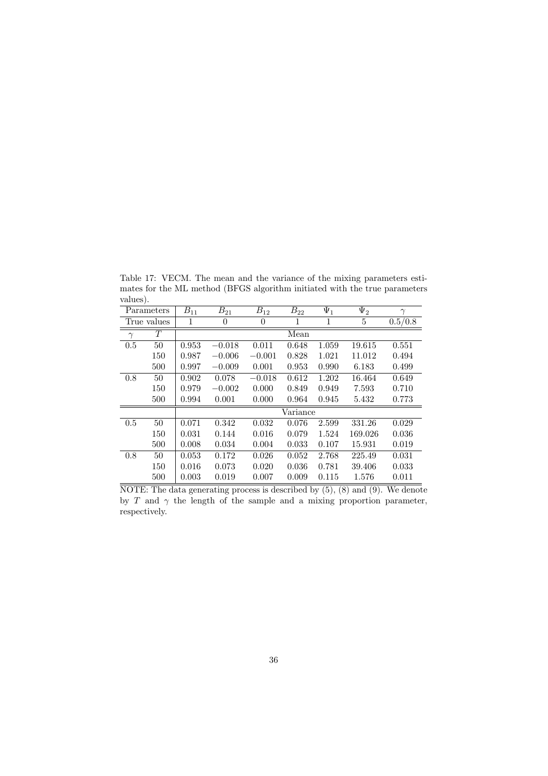Table 17: VECM. The mean and the variance of the mixing parameters estimates for the ML method (BFGS algorithm initiated with the true parameters values).

| Parameters |             | $B_{11}$ | $B_{21}$       | $B_{12}$ | $B_{22}$ | $\Psi_1$ | $\Psi_2$ | $\gamma$ |
|------------|-------------|----------|----------------|----------|----------|----------|----------|----------|
|            | True values | 1        | $\overline{0}$ | $\theta$ | 1        | 1        | 5        | 0.5/0.8  |
| $\gamma$   | T           |          |                |          | Mean     |          |          |          |
| 0.5        | 50          | 0.953    | $-0.018$       | 0.011    | 0.648    | 1.059    | 19.615   | 0.551    |
|            | 150         | 0.987    | $-0.006$       | $-0.001$ | 0.828    | 1.021    | 11.012   | 0.494    |
|            | 500         | 0.997    | $-0.009$       | 0.001    | 0.953    | 0.990    | 6.183    | 0.499    |
| 0.8        | 50          | 0.902    | 0.078          | $-0.018$ | 0.612    | 1.202    | 16.464   | 0.649    |
|            | 150         | 0.979    | $-0.002$       | 0.000    | 0.849    | 0.949    | 7.593    | 0.710    |
|            | 500         | 0.994    | 0.001          | 0.000    | 0.964    | 0.945    | 5.432    | 0.773    |
|            |             |          |                |          | Variance |          |          |          |
| 0.5        | 50          | 0.071    | 0.342          | 0.032    | 0.076    | 2.599    | 331.26   | 0.029    |
|            | 150         | 0.031    | 0.144          | 0.016    | 0.079    | 1.524    | 169.026  | 0.036    |
|            | 500         | 0.008    | 0.034          | 0.004    | 0.033    | 0.107    | 15.931   | 0.019    |
| 0.8        | 50          | 0.053    | 0.172          | 0.026    | 0.052    | 2.768    | 225.49   | 0.031    |
|            | 150         | 0.016    | 0.073          | 0.020    | 0.036    | 0.781    | 39.406   | 0.033    |
|            | 500         | 0.003    | 0.019          | 0.007    | 0.009    | 0.115    | 1.576    | 0.011    |

 $\overline{\text{NOTE: The data generating process is described by (5), (8) and (9). We denote}}$ by T and  $\gamma$  the length of the sample and a mixing proportion parameter, respectively.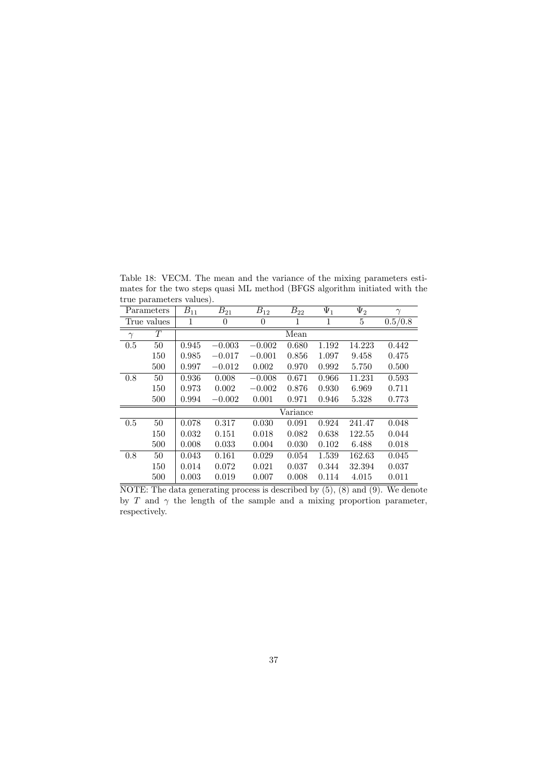| Parameters |             | $B_{11}$ | $B_{21}$         | $B_{12}$ | $B_{22}$ | $\Psi_1$ | $\Psi_2$ | $\gamma$ |
|------------|-------------|----------|------------------|----------|----------|----------|----------|----------|
|            | True values | 1        | $\boldsymbol{0}$ | 0        | 1        | 1        | 5        | 0.5/0.8  |
| $\gamma$   | T           |          |                  |          | Mean     |          |          |          |
| 0.5        | 50          | 0.945    | $-0.003$         | $-0.002$ | 0.680    | 1.192    | 14.223   | 0.442    |
|            | 150         | 0.985    | $-0.017$         | $-0.001$ | 0.856    | 1.097    | 9.458    | 0.475    |
|            | 500         | 0.997    | $-0.012$         | 0.002    | 0.970    | 0.992    | 5.750    | 0.500    |
| 0.8        | 50          | 0.936    | 0.008            | $-0.008$ | 0.671    | 0.966    | 11.231   | 0.593    |
|            | 150         | 0.973    | 0.002            | $-0.002$ | 0.876    | 0.930    | 6.969    | 0.711    |
|            | 500         | 0.994    | $-0.002$         | 0.001    | 0.971    | 0.946    | 5.328    | 0.773    |
|            |             |          |                  | Variance |          |          |          |          |
| 0.5        | 50          | 0.078    | 0.317            | 0.030    | 0.091    | 0.924    | 241.47   | 0.048    |
|            | 150         | 0.032    | 0.151            | 0.018    | 0.082    | 0.638    | 122.55   | 0.044    |
|            | 500         | 0.008    | 0.033            | 0.004    | 0.030    | 0.102    | 6.488    | 0.018    |
| 0.8        | 50          | 0.043    | 0.161            | 0.029    | 0.054    | 1.539    | 162.63   | 0.045    |
|            | 150         | 0.014    | 0.072            | 0.021    | 0.037    | 0.344    | 32.394   | 0.037    |
|            | 500         | 0.003    | 0.019            | 0.007    | 0.008    | 0.114    | 4.015    | 0.011    |

Table 18: VECM. The mean and the variance of the mixing parameters estimates for the two steps quasi ML method (BFGS algorithm initiated with the true parameters values).

 $\overline{\text{NOTE: The data generating process is described by (5), (8) and (9). We denote}}$ by T and  $\gamma$  the length of the sample and a mixing proportion parameter, respectively.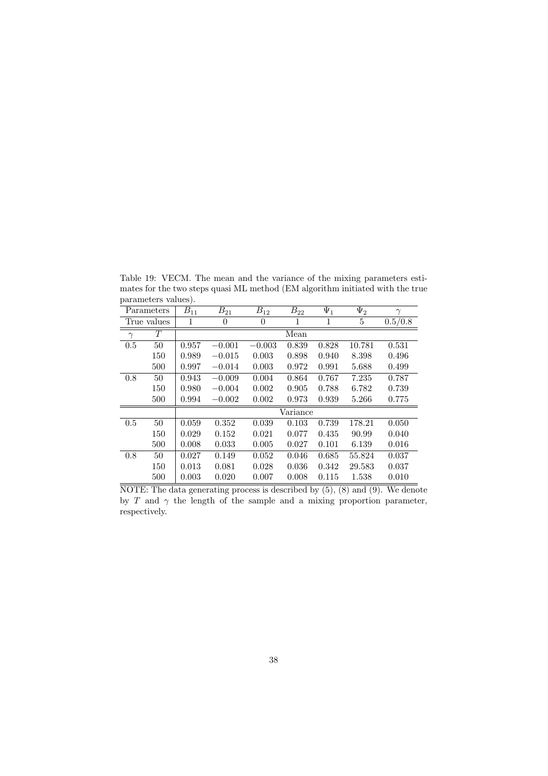$\begin{tabular}{c|c} parameters values). \end{tabular}$  $\overline{B_{21} \quad B_{12} \quad B_{22} \quad \Psi_1 \quad \Psi_2 \quad \gamma}$ True values  $1 \t 0 \t 0 \t 1 \t 1 \t 5 \t 0.5/0.8$  $\gamma$  T Mean 0.5 50 0.957 −0.001 −0.003 0.839 0.828 10.781 0.531 150 0.989 −0.015 0.003 0.898 0.940 8.398 0.496 500 0.997 −0.014 0.003 0.972 0.991 5.688 0.499 0.8 50 0.943 −0.009 0.004 0.864 0.767 7.235 0.787 150 0.980 −0.004 0.002 0.905 0.788 6.782 0.739 500 0.994 −0.002 0.002 0.973 0.939 5.266 0.775 Variance

Table 19: VECM. The mean and the variance of the mixing parameters estimates for the two steps quasi ML method (EM algorithm initiated with the true

| True values |     | 1        | $\theta$ | $\theta$ | 1     | 1     | 5      | 0.5/0.8 |  |
|-------------|-----|----------|----------|----------|-------|-------|--------|---------|--|
| $\gamma$    | T   |          | Mean     |          |       |       |        |         |  |
| 0.5         | 50  | 0.957    | $-0.001$ | $-0.003$ | 0.839 | 0.828 | 10.781 | 0.531   |  |
|             | 150 | 0.989    | $-0.015$ | 0.003    | 0.898 | 0.940 | 8.398  | 0.496   |  |
|             | 500 | 0.997    | $-0.014$ | 0.003    | 0.972 | 0.991 | 5.688  | 0.499   |  |
| 0.8         | 50  | 0.943    | $-0.009$ | 0.004    | 0.864 | 0.767 | 7.235  | 0.787   |  |
|             | 150 | 0.980    | $-0.004$ | 0.002    | 0.905 | 0.788 | 6.782  | 0.739   |  |
|             | 500 | 0.994    | $-0.002$ | 0.002    | 0.973 | 0.939 | 5.266  | 0.775   |  |
|             |     | Variance |          |          |       |       |        |         |  |
| 0.5         | 50  | 0.059    | 0.352    | 0.039    | 0.103 | 0.739 | 178.21 | 0.050   |  |
|             | 150 | 0.029    | 0.152    | 0.021    | 0.077 | 0.435 | 90.99  | 0.040   |  |
|             | 500 | 0.008    | 0.033    | 0.005    | 0.027 | 0.101 | 6.139  | 0.016   |  |
| 0.8         | 50  | 0.027    | 0.149    | 0.052    | 0.046 | 0.685 | 55.824 | 0.037   |  |
|             | 150 | 0.013    | 0.081    | 0.028    | 0.036 | 0.342 | 29.583 | 0.037   |  |
|             | 500 | 0.003    | 0.020    | 0.007    | 0.008 | 0.115 | 1.538  | 0.010   |  |

NOTE: The data generating process is described by  $(5)$ ,  $(8)$  and  $(9)$ . We denote by T and  $\gamma$  the length of the sample and a mixing proportion parameter, respectively.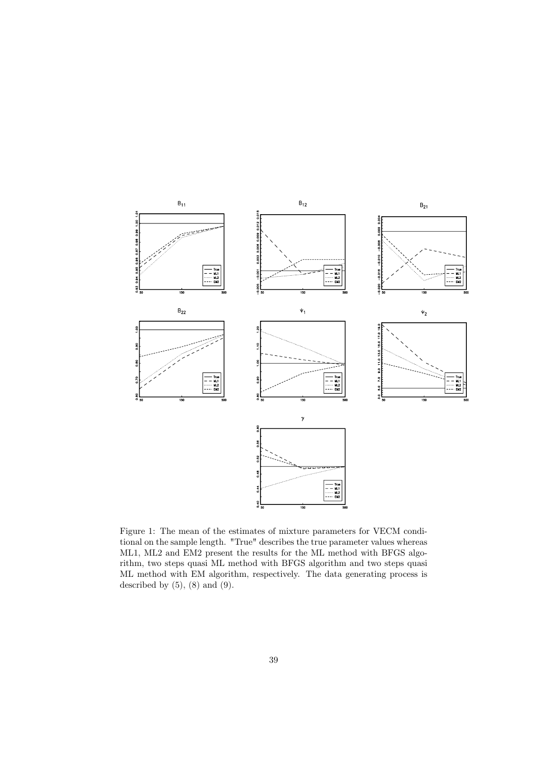

Figure 1: The mean of the estimates of mixture parameters for VECM conditional on the sample length. "True" describes the true parameter values whereas ML1, ML2 and EM2 present the results for the ML method with BFGS algorithm, two steps quasi ML method with BFGS algorithm and two steps quasi ML method with EM algorithm, respectively. The data generating process is described by  $(5)$ ,  $(8)$  and  $(9)$ .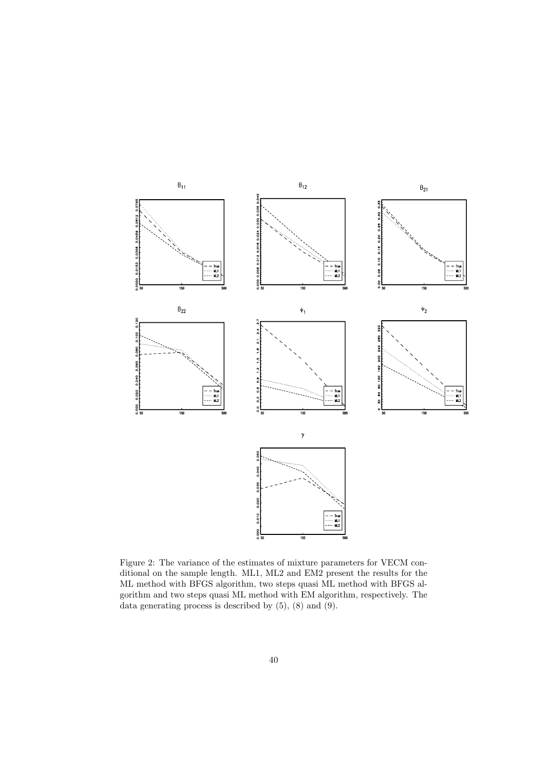

Figure 2: The variance of the estimates of mixture parameters for VECM conditional on the sample length. ML1, ML2 and EM2 present the results for the ML method with BFGS algorithm, two steps quasi ML method with BFGS algorithm and two steps quasi ML method with EM algorithm, respectively. The data generating process is described by  $(5)$ ,  $(8)$  and  $(9)$ .